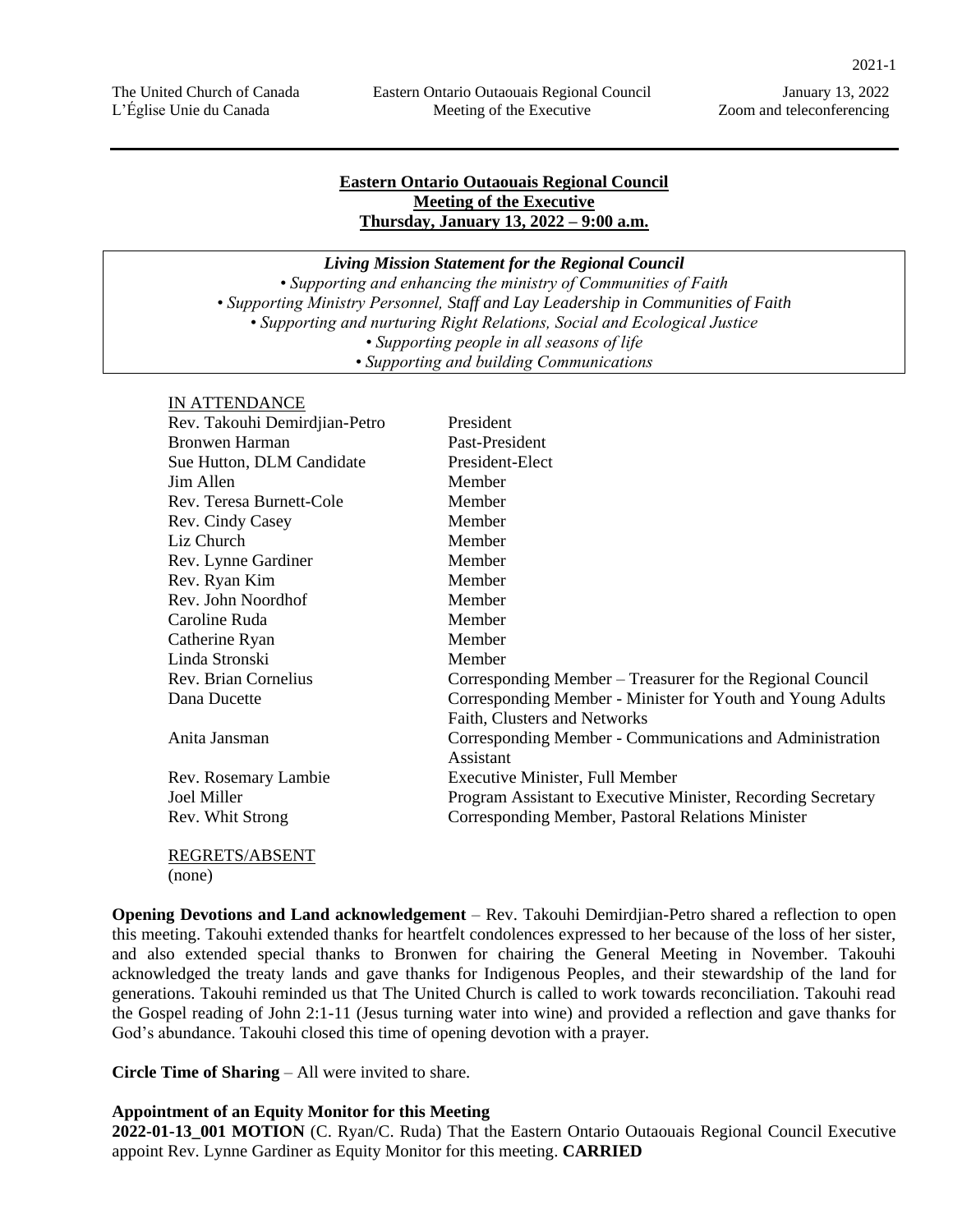#### **Eastern Ontario Outaouais Regional Council Meeting of the Executive Thursday, January 13, 2022 – 9:00 a.m.**

*Living Mission Statement for the Regional Council*

*• Supporting and enhancing the ministry of Communities of Faith • Supporting Ministry Personnel, Staff and Lay Leadership in Communities of Faith • Supporting and nurturing Right Relations, Social and Ecological Justice • Supporting people in all seasons of life • Supporting and building Communications*

#### IN ATTENDANCE

| Rev. Takouhi Demirdjian-Petro | President                                                             |
|-------------------------------|-----------------------------------------------------------------------|
|                               |                                                                       |
| Bronwen Harman                | Past-President                                                        |
| Sue Hutton, DLM Candidate     | President-Elect                                                       |
| Jim Allen                     | Member                                                                |
| Rev. Teresa Burnett-Cole      | Member                                                                |
| Rev. Cindy Casey              | Member                                                                |
| Liz Church                    | Member                                                                |
| Rev. Lynne Gardiner           | Member                                                                |
| Rev. Ryan Kim                 | Member                                                                |
| Rev. John Noordhof            | Member                                                                |
| Caroline Ruda                 | Member                                                                |
| Catherine Ryan                | Member                                                                |
| Linda Stronski                | Member                                                                |
| Rev. Brian Cornelius          | Corresponding Member – Treasurer for the Regional Council             |
| Dana Ducette                  | Corresponding Member - Minister for Youth and Young Adults            |
|                               | Faith, Clusters and Networks                                          |
| Anita Jansman                 | Corresponding Member - Communications and Administration<br>Assistant |
| Rev. Rosemary Lambie          | <b>Executive Minister, Full Member</b>                                |
| Joel Miller                   | Program Assistant to Executive Minister, Recording Secretary          |
| Rev. Whit Strong              | Corresponding Member, Pastoral Relations Minister                     |
| REGRETS/ABSENT                |                                                                       |

(none)

**Opening Devotions and Land acknowledgement** – Rev. Takouhi Demirdjian-Petro shared a reflection to open this meeting. Takouhi extended thanks for heartfelt condolences expressed to her because of the loss of her sister, and also extended special thanks to Bronwen for chairing the General Meeting in November. Takouhi acknowledged the treaty lands and gave thanks for Indigenous Peoples, and their stewardship of the land for generations. Takouhi reminded us that The United Church is called to work towards reconciliation. Takouhi read the Gospel reading of John 2:1-11 (Jesus turning water into wine) and provided a reflection and gave thanks for God's abundance. Takouhi closed this time of opening devotion with a prayer.

**Circle Time of Sharing** – All were invited to share.

#### **Appointment of an Equity Monitor for this Meeting**

**2022-01-13\_001 MOTION** (C. Ryan/C. Ruda) That the Eastern Ontario Outaouais Regional Council Executive appoint Rev. Lynne Gardiner as Equity Monitor for this meeting. **CARRIED**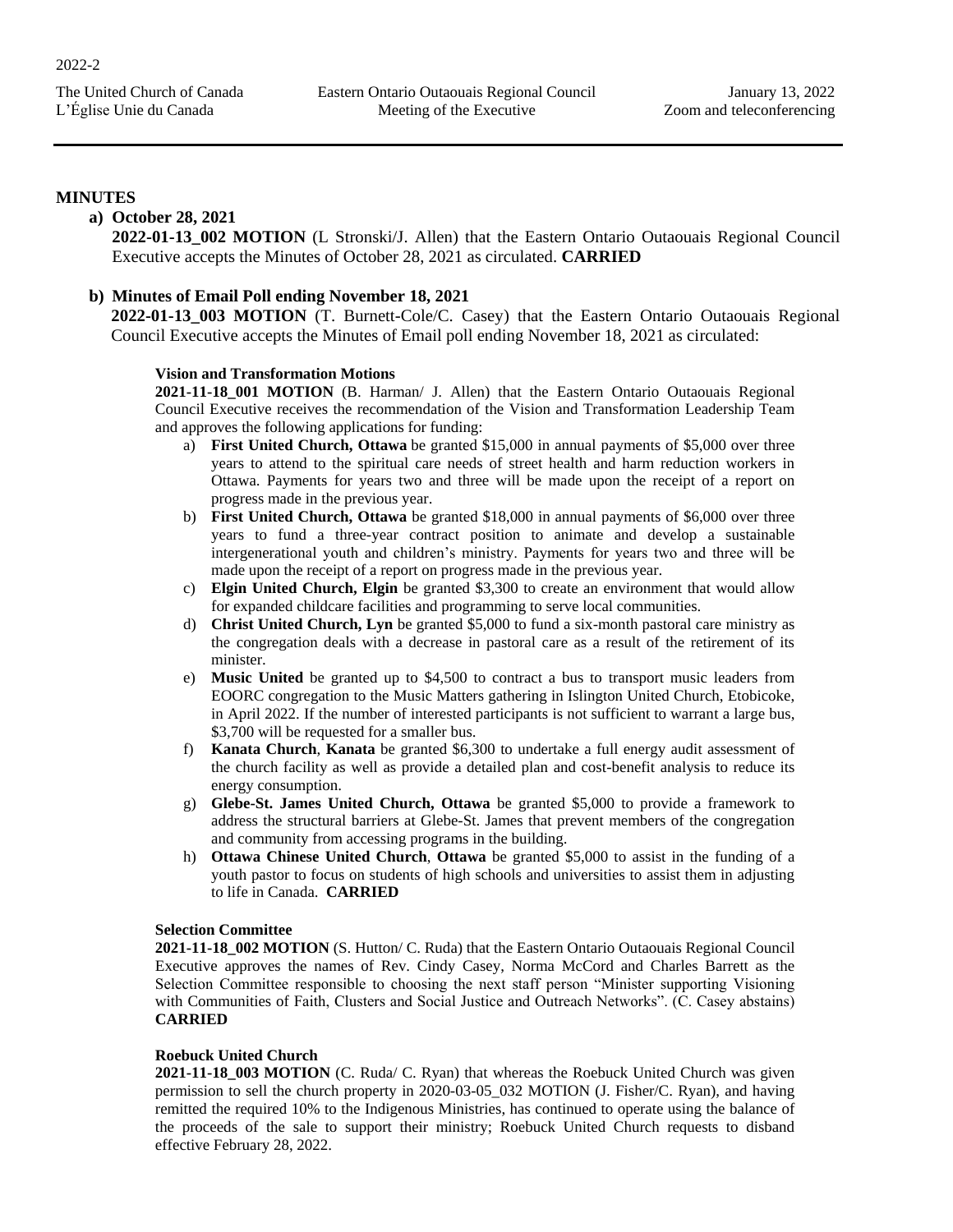#### **MINUTES**

#### **a) October 28, 2021**

**2022-01-13\_002 MOTION** (L Stronski/J. Allen) that the Eastern Ontario Outaouais Regional Council Executive accepts the Minutes of October 28, 2021 as circulated. **CARRIED**

#### **b) Minutes of Email Poll ending November 18, 2021**

**2022-01-13\_003 MOTION** (T. Burnett-Cole/C. Casey) that the Eastern Ontario Outaouais Regional Council Executive accepts the Minutes of Email poll ending November 18, 2021 as circulated:

#### **Vision and Transformation Motions**

**2021-11-18\_001 MOTION** (B. Harman/ J. Allen) that the Eastern Ontario Outaouais Regional Council Executive receives the recommendation of the Vision and Transformation Leadership Team and approves the following applications for funding:

- a) **First United Church, Ottawa** be granted \$15,000 in annual payments of \$5,000 over three years to attend to the spiritual care needs of street health and harm reduction workers in Ottawa. Payments for years two and three will be made upon the receipt of a report on progress made in the previous year.
- b) **First United Church, Ottawa** be granted \$18,000 in annual payments of \$6,000 over three years to fund a three-year contract position to animate and develop a sustainable intergenerational youth and children's ministry. Payments for years two and three will be made upon the receipt of a report on progress made in the previous year.
- c) **Elgin United Church, Elgin** be granted \$3,300 to create an environment that would allow for expanded childcare facilities and programming to serve local communities.
- d) **Christ United Church, Lyn** be granted \$5,000 to fund a six-month pastoral care ministry as the congregation deals with a decrease in pastoral care as a result of the retirement of its minister.
- e) **Music United** be granted up to \$4,500 to contract a bus to transport music leaders from EOORC congregation to the Music Matters gathering in Islington United Church, Etobicoke, in April 2022. If the number of interested participants is not sufficient to warrant a large bus, \$3,700 will be requested for a smaller bus.
- f) **Kanata Church**, **Kanata** be granted \$6,300 to undertake a full energy audit assessment of the church facility as well as provide a detailed plan and cost-benefit analysis to reduce its energy consumption.
- g) **Glebe-St. James United Church, Ottawa** be granted \$5,000 to provide a framework to address the structural barriers at Glebe-St. James that prevent members of the congregation and community from accessing programs in the building.
- h) **Ottawa Chinese United Church**, **Ottawa** be granted \$5,000 to assist in the funding of a youth pastor to focus on students of high schools and universities to assist them in adjusting to life in Canada. **CARRIED**

#### **Selection Committee**

**2021-11-18\_002 MOTION** (S. Hutton/ C. Ruda) that the Eastern Ontario Outaouais Regional Council Executive approves the names of Rev. Cindy Casey, Norma McCord and Charles Barrett as the Selection Committee responsible to choosing the next staff person "Minister supporting Visioning with Communities of Faith, Clusters and Social Justice and Outreach Networks". (C. Casey abstains) **CARRIED**

#### **Roebuck United Church**

**2021-11-18\_003 MOTION** (C. Ruda/ C. Ryan) that whereas the Roebuck United Church was given permission to sell the church property in 2020-03-05\_032 MOTION (J. Fisher/C. Ryan), and having remitted the required 10% to the Indigenous Ministries, has continued to operate using the balance of the proceeds of the sale to support their ministry; Roebuck United Church requests to disband effective February 28, 2022.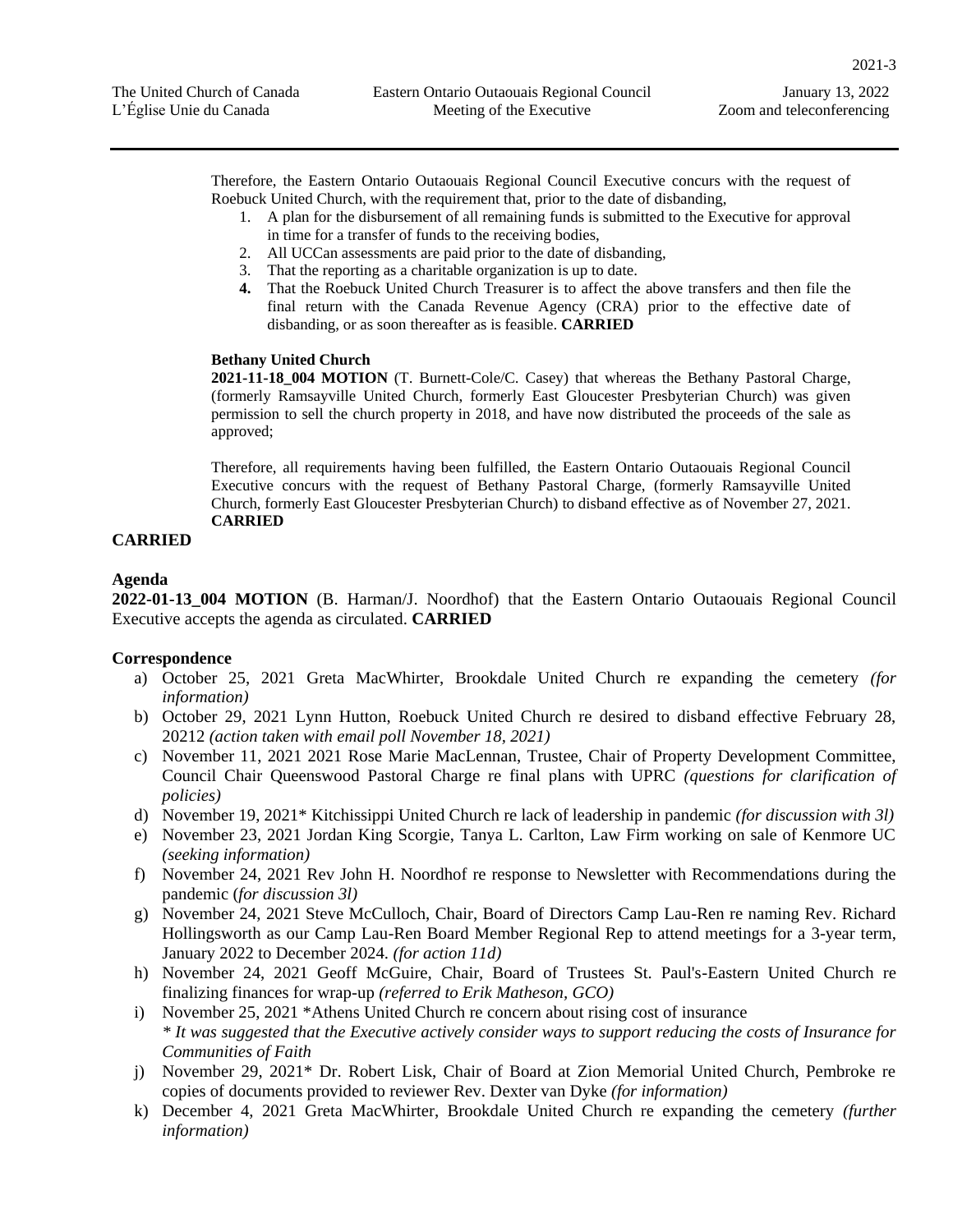2021-3

Therefore, the Eastern Ontario Outaouais Regional Council Executive concurs with the request of Roebuck United Church, with the requirement that, prior to the date of disbanding,

- 1. A plan for the disbursement of all remaining funds is submitted to the Executive for approval in time for a transfer of funds to the receiving bodies,
- 2. All UCCan assessments are paid prior to the date of disbanding,
- 3. That the reporting as a charitable organization is up to date.
- **4.** That the Roebuck United Church Treasurer is to affect the above transfers and then file the final return with the Canada Revenue Agency (CRA) prior to the effective date of disbanding, or as soon thereafter as is feasible. **CARRIED**

#### **Bethany United Church**

**2021-11-18\_004 MOTION** (T. Burnett-Cole/C. Casey) that whereas the Bethany Pastoral Charge, (formerly Ramsayville United Church, formerly East Gloucester Presbyterian Church) was given permission to sell the church property in 2018, and have now distributed the proceeds of the sale as approved;

Therefore, all requirements having been fulfilled, the Eastern Ontario Outaouais Regional Council Executive concurs with the request of Bethany Pastoral Charge, (formerly Ramsayville United Church, formerly East Gloucester Presbyterian Church) to disband effective as of November 27, 2021. **CARRIED**

#### **CARRIED**

#### **Agenda**

**2022-01-13\_004 MOTION** (B. Harman/J. Noordhof) that the Eastern Ontario Outaouais Regional Council Executive accepts the agenda as circulated. **CARRIED**

#### **Correspondence**

- a) October 25, 2021 Greta MacWhirter, Brookdale United Church re expanding the cemetery *(for information)*
- b) October 29, 2021 Lynn Hutton, Roebuck United Church re desired to disband effective February 28, 20212 *(action taken with email poll November 18, 2021)*
- c) November 11, 2021 2021 Rose Marie MacLennan, Trustee, Chair of Property Development Committee, Council Chair Queenswood Pastoral Charge re final plans with UPRC *(questions for clarification of policies)*
- d) November 19, 2021\* Kitchissippi United Church re lack of leadership in pandemic *(for discussion with 3l)*
- e) November 23, 2021 Jordan King Scorgie, Tanya L. Carlton, Law Firm working on sale of Kenmore UC *(seeking information)*
- f) November 24, 2021 Rev John H. Noordhof re response to Newsletter with Recommendations during the pandemic (*for discussion 3l)*
- g) November 24, 2021 Steve McCulloch, Chair, Board of Directors Camp Lau-Ren re naming Rev. Richard Hollingsworth as our Camp Lau-Ren Board Member Regional Rep to attend meetings for a 3-year term, January 2022 to December 2024. *(for action 11d)*
- h) November 24, 2021 Geoff McGuire, Chair, Board of Trustees St. Paul's-Eastern United Church re finalizing finances for wrap-up *(referred to Erik Matheson, GCO)*
- i) November 25, 2021 \*Athens United Church re concern about rising cost of insurance *\* It was suggested that the Executive actively consider ways to support reducing the costs of Insurance for Communities of Faith*
- j) November 29, 2021\* Dr. Robert Lisk, Chair of Board at Zion Memorial United Church, Pembroke re copies of documents provided to reviewer Rev. Dexter van Dyke *(for information)*
- k) December 4, 2021 Greta MacWhirter, Brookdale United Church re expanding the cemetery *(further information)*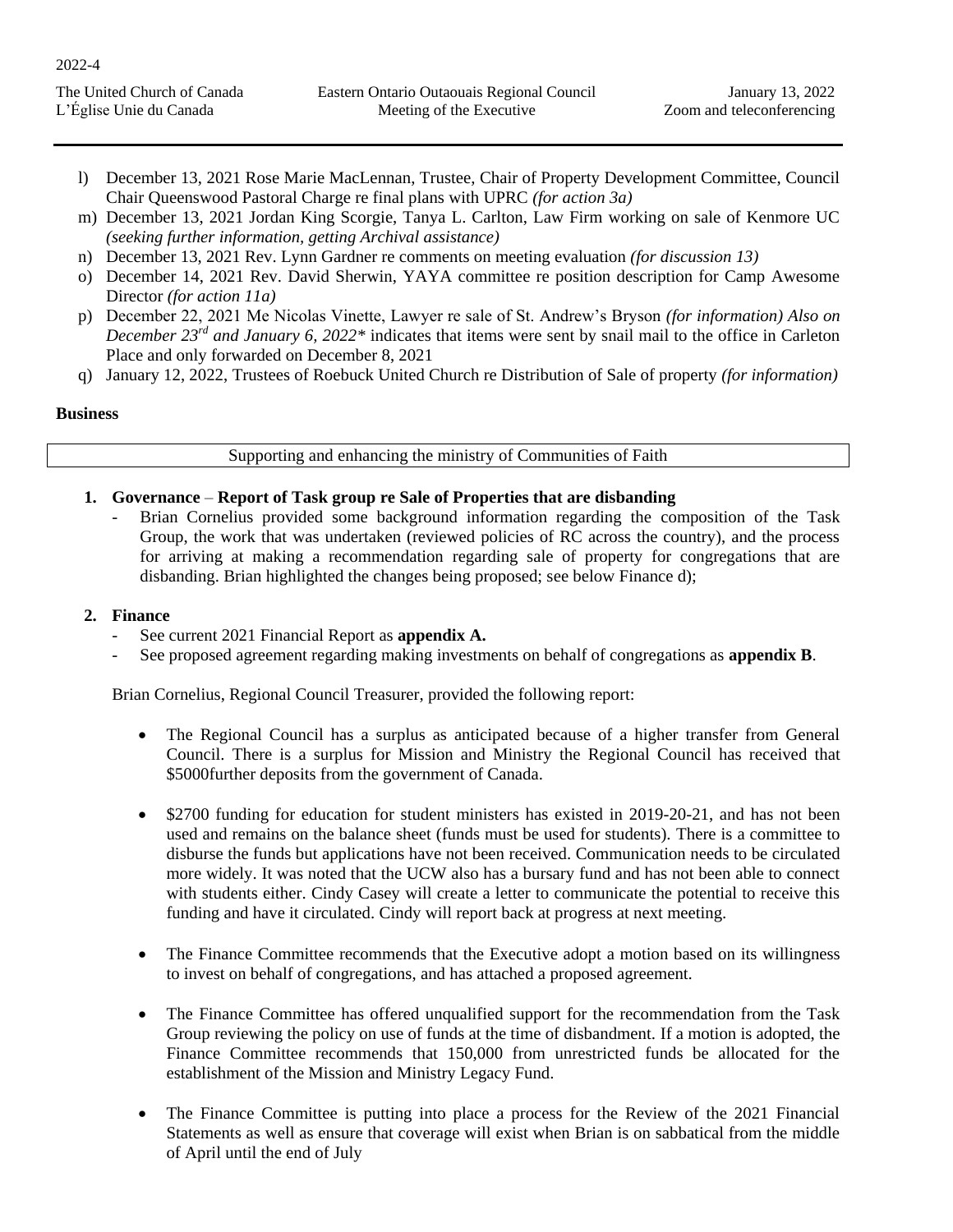| The United Church of Canada | Eastern Ontario Outaouais Regional Council | January 13, 2022          |
|-----------------------------|--------------------------------------------|---------------------------|
| L'Église Unie du Canada     | Meeting of the Executive                   | Zoom and teleconferencing |

- l) December 13, 2021 Rose Marie MacLennan, Trustee, Chair of Property Development Committee, Council Chair Queenswood Pastoral Charge re final plans with UPRC *(for action 3a)*
- m) December 13, 2021 Jordan King Scorgie, Tanya L. Carlton, Law Firm working on sale of Kenmore UC *(seeking further information, getting Archival assistance)*
- n) December 13, 2021 Rev. Lynn Gardner re comments on meeting evaluation *(for discussion 13)*
- o) December 14, 2021 Rev. David Sherwin, YAYA committee re position description for Camp Awesome Director *(for action 11a)*
- p) December 22, 2021 Me Nicolas Vinette, Lawyer re sale of St. Andrew's Bryson *(for information) Also on December 23rd and January 6, 2022\** indicates that items were sent by snail mail to the office in Carleton Place and only forwarded on December 8, 2021
- q) January 12, 2022, Trustees of Roebuck United Church re Distribution of Sale of property *(for information)*

#### **Business**

2022-4

#### Supporting and enhancing the ministry of Communities of Faith

- **1. Governance Report of Task group re Sale of Properties that are disbanding** 
	- Brian Cornelius provided some background information regarding the composition of the Task Group, the work that was undertaken (reviewed policies of RC across the country), and the process for arriving at making a recommendation regarding sale of property for congregations that are disbanding. Brian highlighted the changes being proposed; see below Finance d);

#### **2. Finance**

- See current 2021 Financial Report as **appendix A.**
- See proposed agreement regarding making investments on behalf of congregations as **appendix B**.

Brian Cornelius, Regional Council Treasurer, provided the following report:

- The Regional Council has a surplus as anticipated because of a higher transfer from General Council. There is a surplus for Mission and Ministry the Regional Council has received that \$5000further deposits from the government of Canada.
- \$2700 funding for education for student ministers has existed in 2019-20-21, and has not been used and remains on the balance sheet (funds must be used for students). There is a committee to disburse the funds but applications have not been received. Communication needs to be circulated more widely. It was noted that the UCW also has a bursary fund and has not been able to connect with students either. Cindy Casey will create a letter to communicate the potential to receive this funding and have it circulated. Cindy will report back at progress at next meeting.
- The Finance Committee recommends that the Executive adopt a motion based on its willingness to invest on behalf of congregations, and has attached a proposed agreement.
- The Finance Committee has offered unqualified support for the recommendation from the Task Group reviewing the policy on use of funds at the time of disbandment. If a motion is adopted, the Finance Committee recommends that 150,000 from unrestricted funds be allocated for the establishment of the Mission and Ministry Legacy Fund.
- The Finance Committee is putting into place a process for the Review of the 2021 Financial Statements as well as ensure that coverage will exist when Brian is on sabbatical from the middle of April until the end of July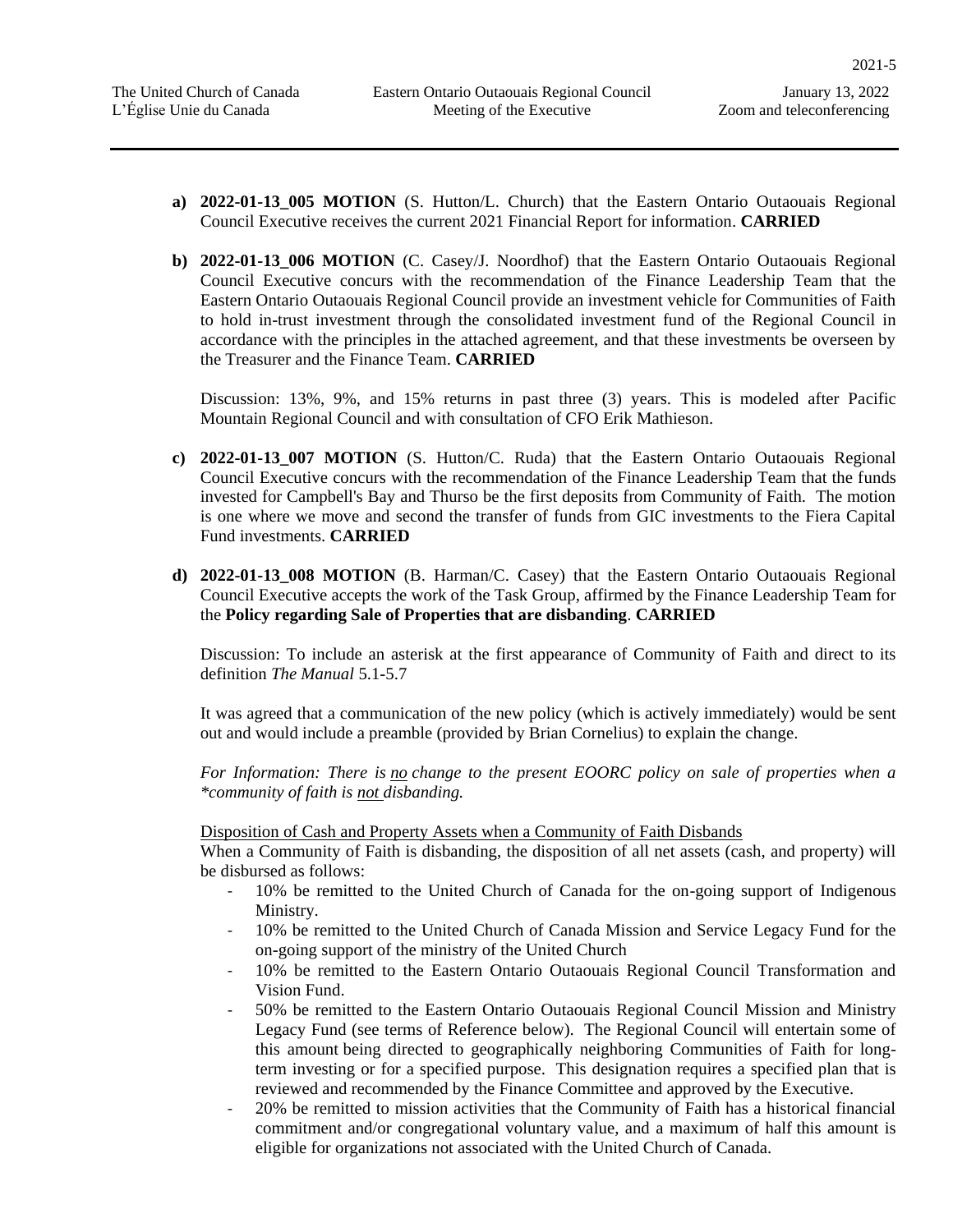- **a) 2022-01-13\_005 MOTION** (S. Hutton/L. Church) that the Eastern Ontario Outaouais Regional Council Executive receives the current 2021 Financial Report for information. **CARRIED**
- **b) 2022-01-13\_006 MOTION** (C. Casey/J. Noordhof) that the Eastern Ontario Outaouais Regional Council Executive concurs with the recommendation of the Finance Leadership Team that the Eastern Ontario Outaouais Regional Council provide an investment vehicle for Communities of Faith to hold in-trust investment through the consolidated investment fund of the Regional Council in accordance with the principles in the attached agreement, and that these investments be overseen by the Treasurer and the Finance Team. **CARRIED**

Discussion: 13%, 9%, and 15% returns in past three (3) years. This is modeled after Pacific Mountain Regional Council and with consultation of CFO Erik Mathieson.

- **c) 2022-01-13\_007 MOTION** (S. Hutton/C. Ruda) that the Eastern Ontario Outaouais Regional Council Executive concurs with the recommendation of the Finance Leadership Team that the funds invested for Campbell's Bay and Thurso be the first deposits from Community of Faith. The motion is one where we move and second the transfer of funds from GIC investments to the Fiera Capital Fund investments. **CARRIED**
- **d) 2022-01-13\_008 MOTION** (B. Harman/C. Casey) that the Eastern Ontario Outaouais Regional Council Executive accepts the work of the Task Group, affirmed by the Finance Leadership Team for the **Policy regarding Sale of Properties that are disbanding**. **CARRIED**

Discussion: To include an asterisk at the first appearance of Community of Faith and direct to its definition *The Manual* 5.1-5.7

It was agreed that a communication of the new policy (which is actively immediately) would be sent out and would include a preamble (provided by Brian Cornelius) to explain the change.

*For Information: There is no change to the present EOORC policy on sale of properties when a \*community of faith is not disbanding.*

Disposition of Cash and Property Assets when a Community of Faith Disbands

When a Community of Faith is disbanding, the disposition of all net assets (cash, and property) will be disbursed as follows:

- 10% be remitted to the United Church of Canada for the on-going support of Indigenous Ministry.
- 10% be remitted to the United Church of Canada Mission and Service Legacy Fund for the on-going support of the ministry of the United Church
- 10% be remitted to the Eastern Ontario Outaouais Regional Council Transformation and Vision Fund.
- 50% be remitted to the Eastern Ontario Outaouais Regional Council Mission and Ministry Legacy Fund (see terms of Reference below). The Regional Council will entertain some of this amount being directed to geographically neighboring Communities of Faith for longterm investing or for a specified purpose. This designation requires a specified plan that is reviewed and recommended by the Finance Committee and approved by the Executive.
- 20% be remitted to mission activities that the Community of Faith has a historical financial commitment and/or congregational voluntary value, and a maximum of half this amount is eligible for organizations not associated with the United Church of Canada.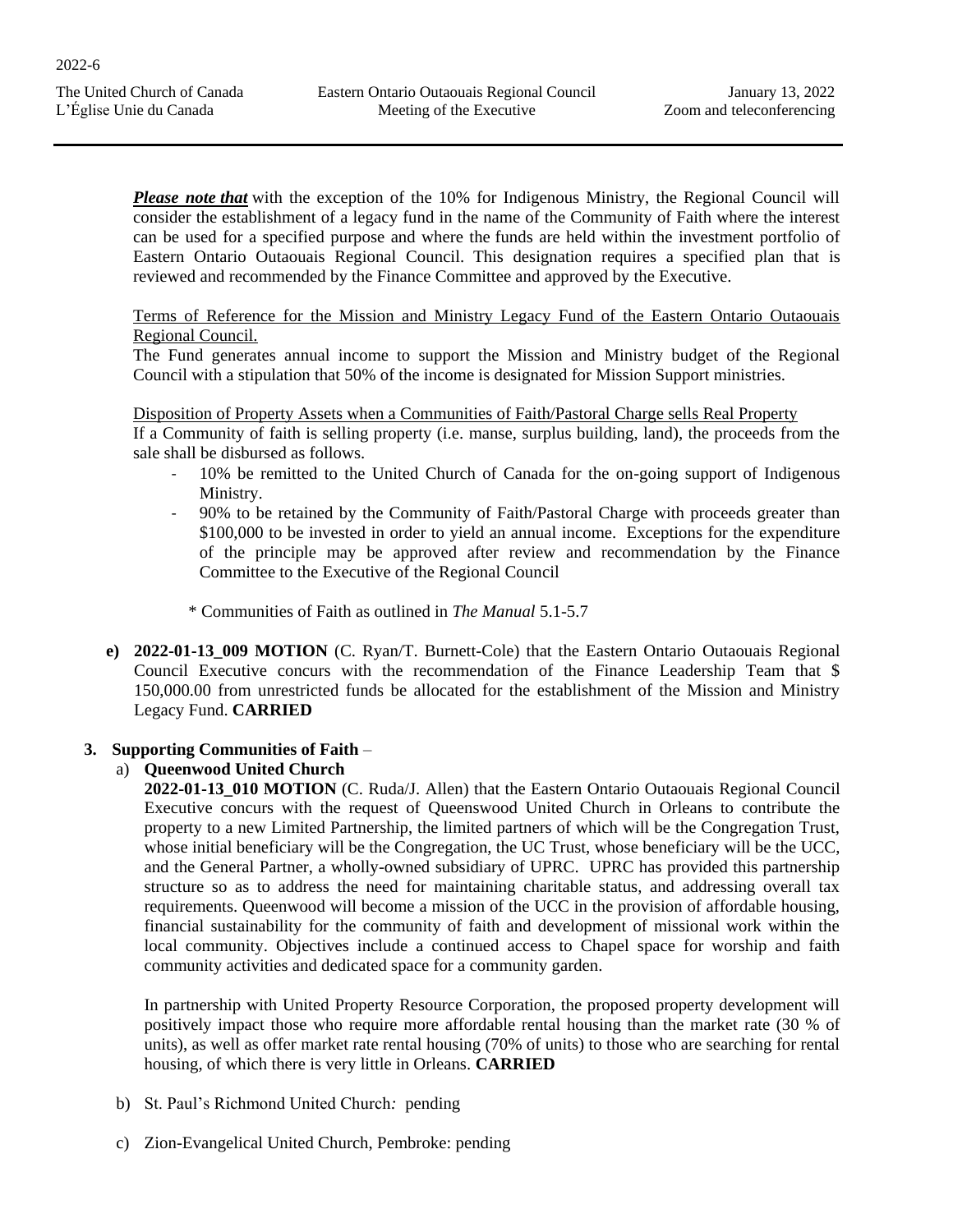*Please note that* with the exception of the 10% for Indigenous Ministry, the Regional Council will consider the establishment of a legacy fund in the name of the Community of Faith where the interest can be used for a specified purpose and where the funds are held within the investment portfolio of Eastern Ontario Outaouais Regional Council. This designation requires a specified plan that is reviewed and recommended by the Finance Committee and approved by the Executive.

#### Terms of Reference for the Mission and Ministry Legacy Fund of the Eastern Ontario Outaouais Regional Council.

The Fund generates annual income to support the Mission and Ministry budget of the Regional Council with a stipulation that 50% of the income is designated for Mission Support ministries.

#### Disposition of Property Assets when a Communities of Faith/Pastoral Charge sells Real Property

If a Community of faith is selling property (i.e. manse, surplus building, land), the proceeds from the sale shall be disbursed as follows.

- 10% be remitted to the United Church of Canada for the on-going support of Indigenous Ministry.
- 90% to be retained by the Community of Faith/Pastoral Charge with proceeds greater than \$100,000 to be invested in order to yield an annual income. Exceptions for the expenditure of the principle may be approved after review and recommendation by the Finance Committee to the Executive of the Regional Council
	- \* Communities of Faith as outlined in *The Manual* 5.1-5.7
- **e) 2022-01-13\_009 MOTION** (C. Ryan/T. Burnett-Cole) that the Eastern Ontario Outaouais Regional Council Executive concurs with the recommendation of the Finance Leadership Team that \$ 150,000.00 from unrestricted funds be allocated for the establishment of the Mission and Ministry Legacy Fund. **CARRIED**

## **3. Supporting Communities of Faith** –

## a) **Queenwood United Church**

**2022-01-13\_010 MOTION** (C. Ruda/J. Allen) that the Eastern Ontario Outaouais Regional Council Executive concurs with the request of Queenswood United Church in Orleans to contribute the property to a new Limited Partnership, the limited partners of which will be the Congregation Trust, whose initial beneficiary will be the Congregation, the UC Trust, whose beneficiary will be the UCC, and the General Partner, a wholly-owned subsidiary of UPRC. UPRC has provided this partnership structure so as to address the need for maintaining charitable status, and addressing overall tax requirements. Queenwood will become a mission of the UCC in the provision of affordable housing, financial sustainability for the community of faith and development of missional work within the local community. Objectives include a continued access to Chapel space for worship and faith community activities and dedicated space for a community garden.

In partnership with United Property Resource Corporation, the proposed property development will positively impact those who require more affordable rental housing than the market rate (30 % of units), as well as offer market rate rental housing (70% of units) to those who are searching for rental housing, of which there is very little in Orleans. **CARRIED**

- b) St. Paul's Richmond United Church*:* pending
- c) Zion-Evangelical United Church, Pembroke: pending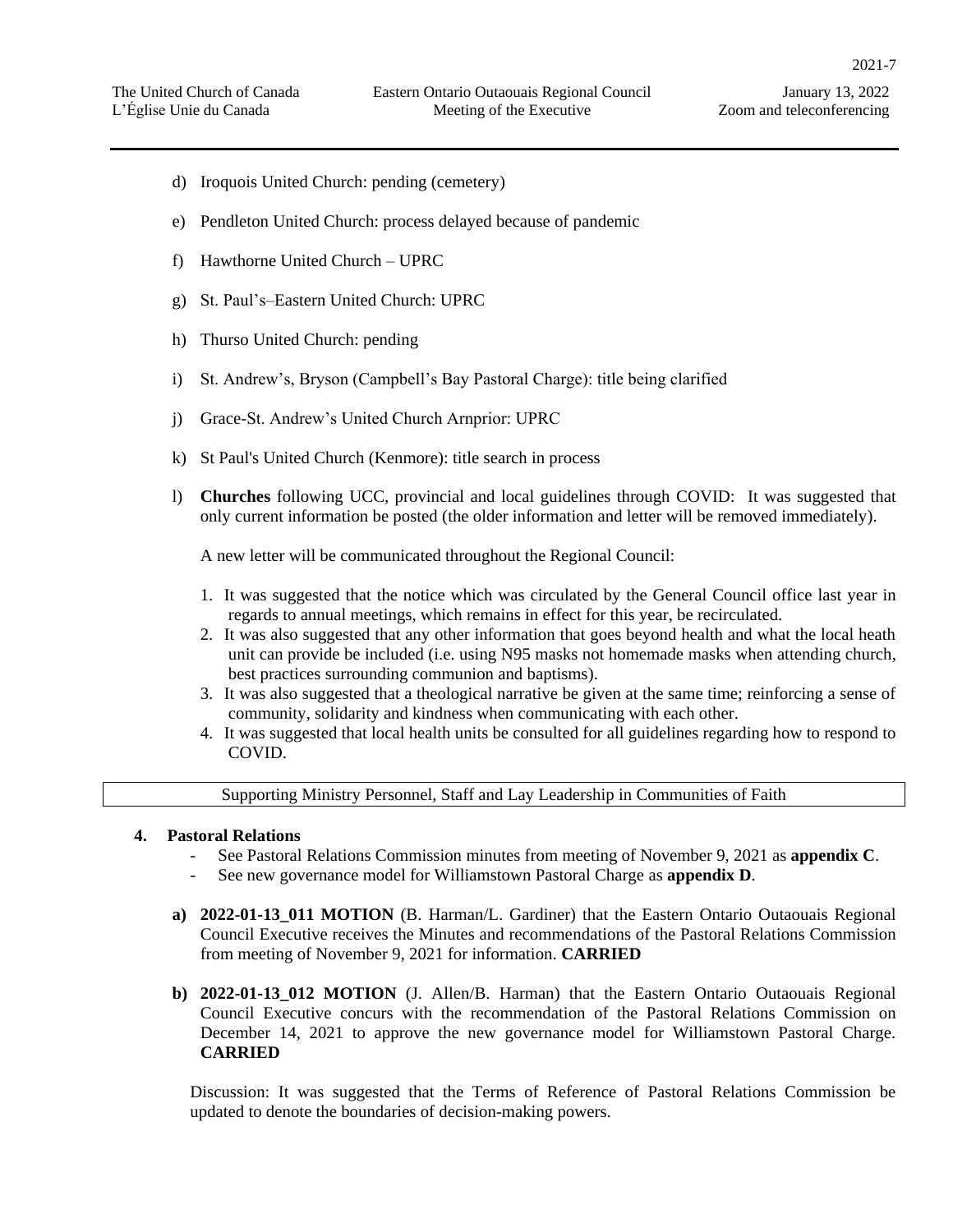2021-7

- d) Iroquois United Church: pending (cemetery)
- e) Pendleton United Church: process delayed because of pandemic
- f) Hawthorne United Church UPRC
- g) St. Paul's–Eastern United Church: UPRC
- h) Thurso United Church: pending
- i) St. Andrew's, Bryson (Campbell's Bay Pastoral Charge): title being clarified
- j) Grace-St. Andrew's United Church Arnprior: UPRC
- k) St Paul's United Church (Kenmore): title search in process
- l) **Churches** following UCC, provincial and local guidelines through COVID: It was suggested that only current information be posted (the older information and letter will be removed immediately).

A new letter will be communicated throughout the Regional Council:

- 1. It was suggested that the notice which was circulated by the General Council office last year in regards to annual meetings, which remains in effect for this year, be recirculated.
- 2. It was also suggested that any other information that goes beyond health and what the local heath unit can provide be included (i.e. using N95 masks not homemade masks when attending church, best practices surrounding communion and baptisms).
- 3. It was also suggested that a theological narrative be given at the same time; reinforcing a sense of community, solidarity and kindness when communicating with each other.
- 4. It was suggested that local health units be consulted for all guidelines regarding how to respond to COVID.

Supporting Ministry Personnel, Staff and Lay Leadership in Communities of Faith

#### **4. Pastoral Relations**

- See Pastoral Relations Commission minutes from meeting of November 9, 2021 as **appendix C**.
- See new governance model for Williamstown Pastoral Charge as **appendix D**.
- **a) 2022-01-13\_011 MOTION** (B. Harman/L. Gardiner) that the Eastern Ontario Outaouais Regional Council Executive receives the Minutes and recommendations of the Pastoral Relations Commission from meeting of November 9, 2021 for information. **CARRIED**
- **b) 2022-01-13\_012 MOTION** (J. Allen/B. Harman) that the Eastern Ontario Outaouais Regional Council Executive concurs with the recommendation of the Pastoral Relations Commission on December 14, 2021 to approve the new governance model for Williamstown Pastoral Charge. **CARRIED**

Discussion: It was suggested that the Terms of Reference of Pastoral Relations Commission be updated to denote the boundaries of decision-making powers.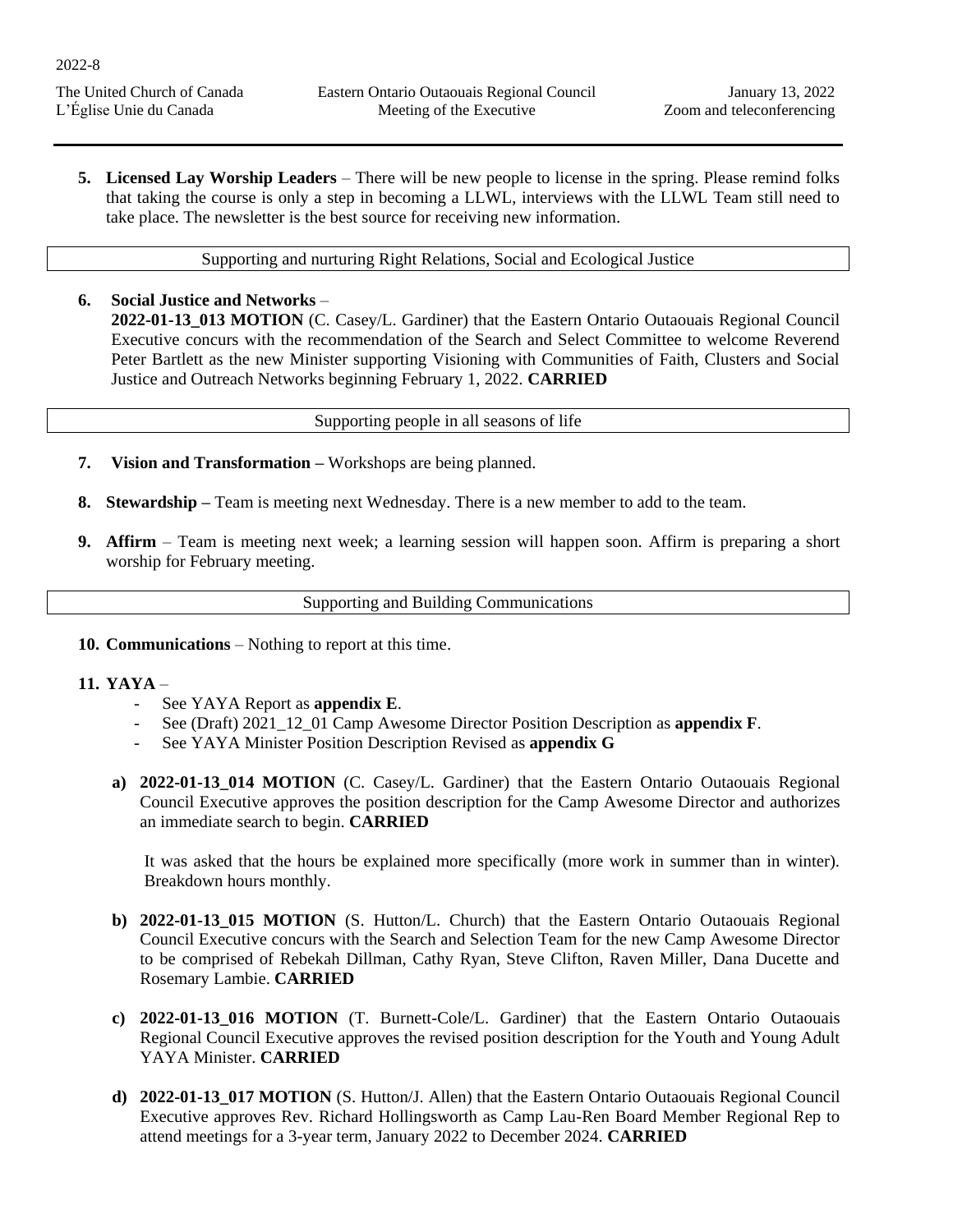**5. Licensed Lay Worship Leaders** – There will be new people to license in the spring. Please remind folks that taking the course is only a step in becoming a LLWL, interviews with the LLWL Team still need to take place. The newsletter is the best source for receiving new information.

Supporting and nurturing Right Relations, Social and Ecological Justice

**6. Social Justice and Networks** – **2022-01-13\_013 MOTION** (C. Casey/L. Gardiner) that the Eastern Ontario Outaouais Regional Council Executive concurs with the recommendation of the Search and Select Committee to welcome Reverend Peter Bartlett as the new Minister supporting Visioning with Communities of Faith, Clusters and Social Justice and Outreach Networks beginning February 1, 2022. **CARRIED**

Supporting people in all seasons of life

- **7. Vision and Transformation –** Workshops are being planned.
- **8. Stewardship –** Team is meeting next Wednesday. There is a new member to add to the team.
- **9. Affirm**  Team is meeting next week; a learning session will happen soon. Affirm is preparing a short worship for February meeting.

Supporting and Building Communications

**10. Communications** – Nothing to report at this time.

#### **11. YAYA** –

- See YAYA Report as **appendix E**.
- See (Draft) 2021\_12\_01 Camp Awesome Director Position Description as **appendix F**.
- See YAYA Minister Position Description Revised as **appendix G**
- **a) 2022-01-13\_014 MOTION** (C. Casey/L. Gardiner) that the Eastern Ontario Outaouais Regional Council Executive approves the position description for the Camp Awesome Director and authorizes an immediate search to begin. **CARRIED**

It was asked that the hours be explained more specifically (more work in summer than in winter). Breakdown hours monthly.

- **b) 2022-01-13\_015 MOTION** (S. Hutton/L. Church) that the Eastern Ontario Outaouais Regional Council Executive concurs with the Search and Selection Team for the new Camp Awesome Director to be comprised of Rebekah Dillman, Cathy Ryan, Steve Clifton, Raven Miller, Dana Ducette and Rosemary Lambie. **CARRIED**
- **c) 2022-01-13\_016 MOTION** (T. Burnett-Cole/L. Gardiner) that the Eastern Ontario Outaouais Regional Council Executive approves the revised position description for the Youth and Young Adult YAYA Minister. **CARRIED**
- **d) 2022-01-13\_017 MOTION** (S. Hutton/J. Allen) that the Eastern Ontario Outaouais Regional Council Executive approves Rev. Richard Hollingsworth as Camp Lau-Ren Board Member Regional Rep to attend meetings for a 3-year term, January 2022 to December 2024. **CARRIED**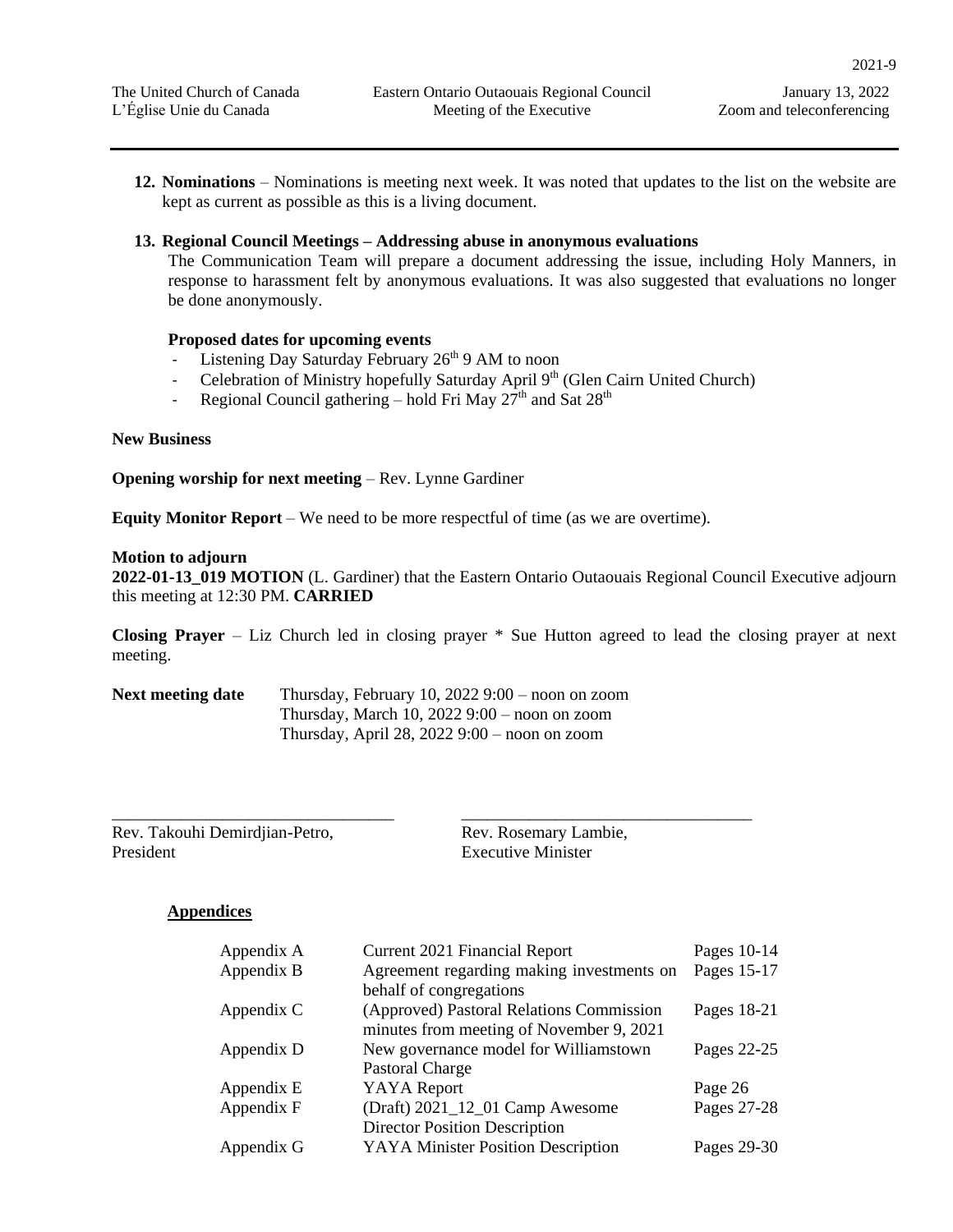2021-9

Zoom and teleconferencing

**12. Nominations** – Nominations is meeting next week. It was noted that updates to the list on the website are kept as current as possible as this is a living document.

#### **13. Regional Council Meetings – Addressing abuse in anonymous evaluations**

The Communication Team will prepare a document addressing the issue, including Holy Manners, in response to harassment felt by anonymous evaluations. It was also suggested that evaluations no longer be done anonymously.

#### **Proposed dates for upcoming events**

- Listening Day Saturday February  $26<sup>th</sup>$  9 AM to noon
- Celebration of Ministry hopefully Saturday April 9<sup>th</sup> (Glen Cairn United Church)
- Regional Council gathering hold Fri May  $27<sup>th</sup>$  and Sat  $28<sup>th</sup>$

#### **New Business**

**Opening worship for next meeting** – Rev. Lynne Gardiner

**Equity Monitor Report** – We need to be more respectful of time (as we are overtime).

#### **Motion to adjourn**

**2022-01-13\_019 MOTION** (L. Gardiner) that the Eastern Ontario Outaouais Regional Council Executive adjourn this meeting at 12:30 PM. **CARRIED** 

**Closing Prayer** – Liz Church led in closing prayer \* Sue Hutton agreed to lead the closing prayer at next meeting.

| <b>Next meeting date</b> | Thursday, February 10, 2022 $9:00$ – noon on zoom |
|--------------------------|---------------------------------------------------|
|                          | Thursday, March 10, $20229:00$ – noon on zoom     |
|                          | Thursday, April 28, 2022 $9:00$ – noon on zoom    |

Rev. Takouhi Demirdjian-Petro, President

\_\_\_\_\_\_\_\_\_\_\_\_\_\_\_\_\_\_\_\_\_\_\_\_\_\_\_\_\_\_\_\_\_

Rev. Rosemary Lambie, Executive Minister

\_\_\_\_\_\_\_\_\_\_\_\_\_\_\_\_\_\_\_\_\_\_\_\_\_\_\_\_\_\_\_\_\_\_

#### **Appendices**

| Appendix A | <b>Current 2021 Financial Report</b>      | Pages 10-14 |
|------------|-------------------------------------------|-------------|
| Appendix B | Agreement regarding making investments on | Pages 15-17 |
|            | behalf of congregations                   |             |
| Appendix C | (Approved) Pastoral Relations Commission  | Pages 18-21 |
|            | minutes from meeting of November 9, 2021  |             |
| Appendix D | New governance model for Williamstown     | Pages 22-25 |
|            | Pastoral Charge                           |             |
| Appendix E | <b>YAYA</b> Report                        | Page 26     |
| Appendix F | (Draft) 2021_12_01 Camp Awesome           | Pages 27-28 |
|            | <b>Director Position Description</b>      |             |
| Appendix G | <b>YAYA Minister Position Description</b> | Pages 29-30 |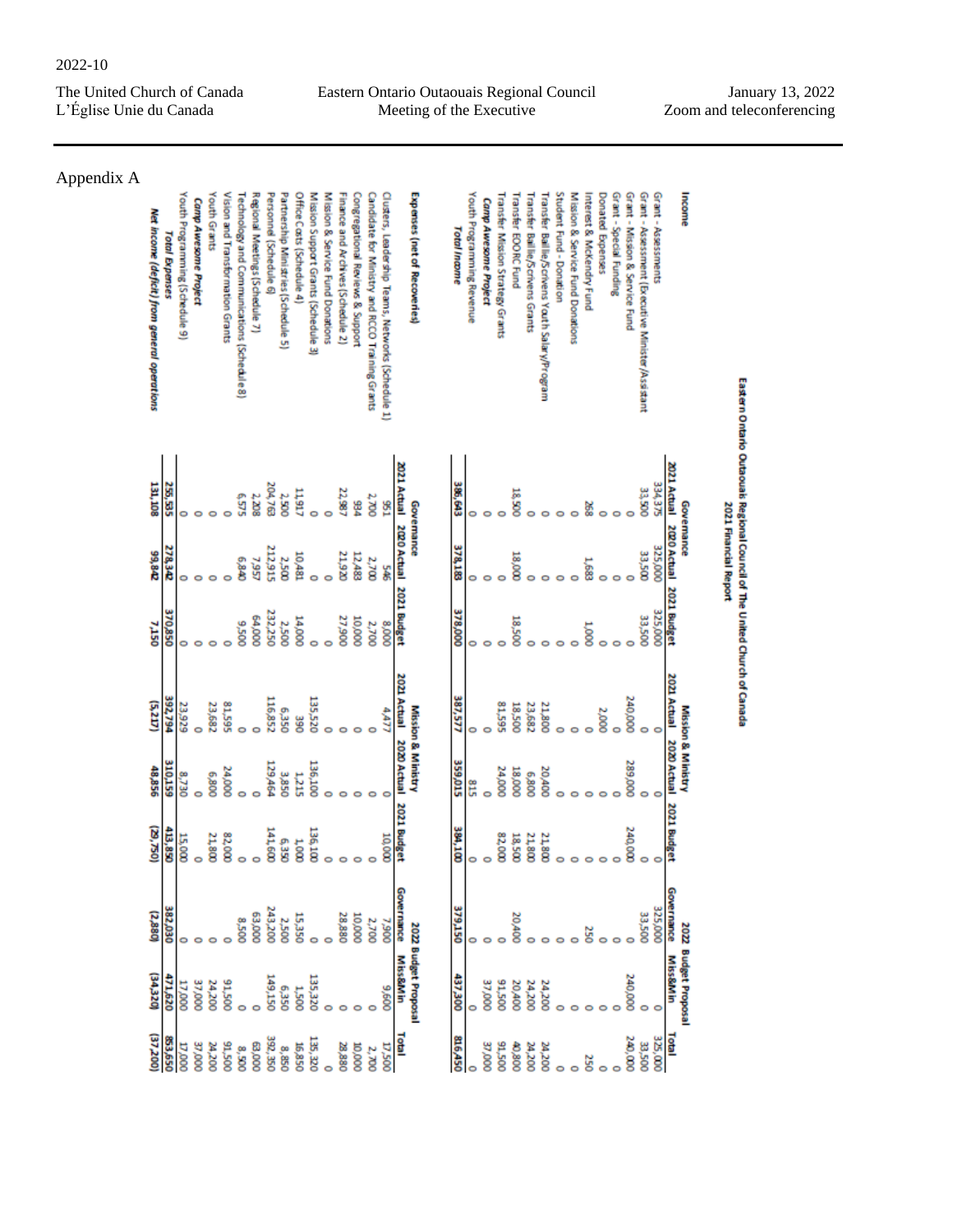#### 2022-10

The United Church of Canada L'Église Unie du Canada

Eastern Ontario Outaouais Regional Council Meeting of the Executive

| Income<br>Interest & McKendry Fund<br>Grant - Special Funding<br>Grant - Mission & Service Fund<br>Grant - Assessment (Executive Minister/Assistant<br>Grant - Assessments<br>Donated Expenses | Eastern Ontario Outaouais Regional Council of The United Church of Canada<br>2021 Actual 2020 Actual 2021 Budget<br>334, 375<br>33,500<br>Governance | 2021 Financial Report<br>325,000<br>33,500<br>è<br>8 | 325,000<br>33,500<br>e<br>Soon | 2021 Actual<br>240,000<br><b>Mission &amp; Ministry</b><br>2,000 | 2020 Actual<br>289,000 | <b>2021 Budget</b><br>240,000 | Governance<br>325,000<br>33,500<br>š | 2022 Budget Proposa<br>Miss&Min<br>240,000  | <b>Total</b><br>325,000<br>240,000<br>33,500<br>250 |
|------------------------------------------------------------------------------------------------------------------------------------------------------------------------------------------------|------------------------------------------------------------------------------------------------------------------------------------------------------|------------------------------------------------------|--------------------------------|------------------------------------------------------------------|------------------------|-------------------------------|--------------------------------------|---------------------------------------------|-----------------------------------------------------|
| Student Fund - Donation<br>Fransfer Baillie/Scrivens Youth Salary/Program                                                                                                                      |                                                                                                                                                      |                                                      |                                | 21,800                                                           | 20,400                 | 21,800                        |                                      | 24,200                                      | 24,200                                              |
| <b>Transfer Baillie/Scrivens Grants</b>                                                                                                                                                        |                                                                                                                                                      |                                                      |                                | 23,682                                                           | 6,800                  | 21,800                        |                                      | 24,200                                      | <b>DOC</b> <sub>R</sub> C                           |
| <b>Transfer EOORC Fund</b>                                                                                                                                                                     | 18,500                                                                                                                                               | 18,000                                               | 18,500                         | 18,500                                                           | 18,000                 | 18,500                        | 20,400                               | 20,400                                      | 00800                                               |
| <b>Transfer Mission Strategy Grants</b>                                                                                                                                                        |                                                                                                                                                      |                                                      |                                | <b>SSS-18</b>                                                    | 24,000                 | 82,00X                        |                                      | 005'16                                      | 91,500                                              |
| <b>Camp Awesome Project</b>                                                                                                                                                                    |                                                                                                                                                      |                                                      |                                |                                                                  | $\circ$                |                               |                                      | 37,000                                      | 0000' LE                                            |
| Youth Programming Revenue                                                                                                                                                                      |                                                                                                                                                      |                                                      | 0                              | 0                                                                | S15                    |                               |                                      | ō                                           | o                                                   |
| <b>Total Income</b>                                                                                                                                                                            | 386,643                                                                                                                                              | 378,183                                              | 378,000                        | 387,577                                                          | 359,015                | 384,100                       | 379,150                              | 437,300                                     | 816,450                                             |
| Expenses (net of Recoveries)                                                                                                                                                                   | 2021 Actual 2020 Actual 2021 Budget<br>Governance                                                                                                    |                                                      |                                | 2021 Actual<br>Mission & Ministry                                | 2020 Actual            | 2021 Budge                    | Governance                           | 2022 Budget Proposal<br><b>Miss&amp;Min</b> | Total                                               |
| Clusters, Leadership Teams, Networks (Schedule 1)                                                                                                                                              | 156                                                                                                                                                  | SÆ                                                   | 000'8                          | 4477                                                             |                        | 10,000                        | 7,900                                | 009'6                                       | 0.500                                               |
| Candidate for Ministry and RCCO Training Grants                                                                                                                                                | 2.700                                                                                                                                                | 2,700                                                | 2,700                          |                                                                  |                        |                               | 2,700                                |                                             | 2,700                                               |
| Congregational Reviews & Support                                                                                                                                                               | ž                                                                                                                                                    | 12,483                                               | 10,000                         |                                                                  |                        |                               | 000'01                               |                                             | 000'0T                                              |
| Finance and Archives (Schedule 2)                                                                                                                                                              | 22,987                                                                                                                                               | <b>21,920</b>                                        | 27,900                         |                                                                  |                        |                               | 28,880                               |                                             | 28,880                                              |
| Mission & Service Fund Donations                                                                                                                                                               |                                                                                                                                                      |                                                      |                                |                                                                  |                        |                               |                                      |                                             | $\circ$                                             |
| Mission Support Grants (Schedule 3)                                                                                                                                                            |                                                                                                                                                      |                                                      |                                | 135,520                                                          | 136,100                | 136,100                       | ۰                                    | 135,320                                     | 135, 320                                            |
| Office Casts (Schedule 4)                                                                                                                                                                      | 11,917                                                                                                                                               | 10,481                                               | 000'FT                         | <b>SSC</b>                                                       | 1,215                  | <b>Too</b>                    | 15,350                               | <b>005T</b>                                 | <b>US8, 31</b>                                      |
| Partnership Mini stries (Schedule 5)                                                                                                                                                           | 2,500                                                                                                                                                | 2,500                                                | 2,500                          | 6,350                                                            | 3,850                  | 6,350                         | 2,500                                | 6,350                                       | 8,850                                               |
| Personnel (Schedule 6)                                                                                                                                                                         | 204,763                                                                                                                                              | 212,915                                              | 232,250                        | 116,852                                                          | 129,464                | 141,600                       | 243,200                              | 149,150                                     | 392,350                                             |
| Regional Meetings (Schedule 7)                                                                                                                                                                 | 2,208                                                                                                                                                | 7,957                                                | 000'19                         |                                                                  | ō                      |                               | 000'E9                               |                                             | 000'E9                                              |
| Technology and Communications (Schedule 8)                                                                                                                                                     | 525                                                                                                                                                  | 0.840                                                | 005'6                          | 0                                                                | e                      |                               | 005'8                                |                                             | 8,500                                               |
| Vision and Transformation Grants                                                                                                                                                               |                                                                                                                                                      |                                                      |                                | 81,595                                                           | 24,000                 | 82,000                        |                                      | 005'16                                      | 91,500                                              |
| Youth Grants                                                                                                                                                                                   |                                                                                                                                                      |                                                      |                                | 23,682                                                           | 008'9                  | 21,800                        |                                      | 24,200                                      | <b>24,200</b>                                       |
| Camp Awesome Project                                                                                                                                                                           |                                                                                                                                                      |                                                      |                                |                                                                  |                        |                               |                                      | 37,000                                      | 000' LE                                             |
| Youth Programming (Schedule 9)                                                                                                                                                                 |                                                                                                                                                      |                                                      |                                | 23,929                                                           | 8,730                  | 15,000                        |                                      | 17,000                                      | 10,0000                                             |
| <b>Total Expenses</b>                                                                                                                                                                          | 25,535                                                                                                                                               | 278,342                                              | 370,850                        | 392,794                                                          | 310,159                | 413,850                       | 382,030                              | 471,620                                     | 853,650                                             |
| Net income (deficit) from general operations                                                                                                                                                   | 131,108                                                                                                                                              | 99,842                                               | <b>7,150</b>                   | (5,217)                                                          | 48,856                 | 052'(62)                      | (2,880)                              | (34,320)                                    | (37,200                                             |
| Appendix A                                                                                                                                                                                     |                                                                                                                                                      |                                                      |                                |                                                                  |                        |                               |                                      |                                             |                                                     |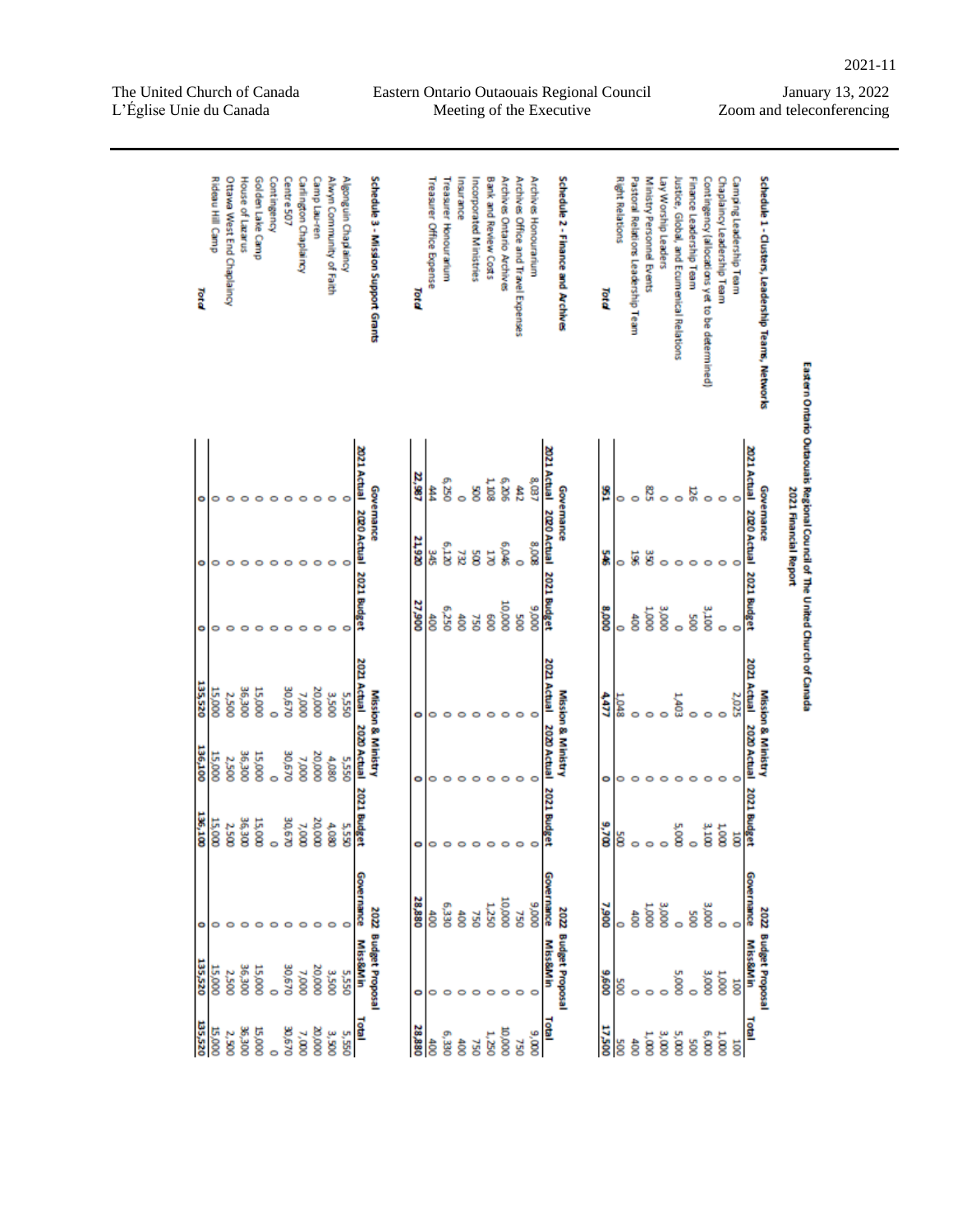Contingency<br>Golden Lake Camp Carlington Chaplaincy<br>Centre 507 Schedule 1 - Clusters, Leadership Teams, Networks Ottawa West End Chaplaincy Camp Lau-ren Alwyn Community of Faith Schedule 3 - Mission Support Grants Pastoral Relations Leadership Team Chaplaincy Leadership Team Rideau Hill Camp House of Lazarus Algonguin Chaplaincy Archives Honouranium<br>Archives Office and Travel Expenses Schedule 2 - Finance and Archives **Right Relations** Ministry Personnel Events Lay Worship Leaders lustice, Global, and Ecumenical Relations Contingency (allocations yet to be determined) Camping Leadership Team **Treasurer Office Expense** nsurance Incorporated Ministries Bank and Review Costs Archives Ontario Archives Finance Leadership Team reasurer Honourarium Total Total Total Eastern Ontario Outaouais Regional Council of The United Church of Canada **1202 2021** 2021 Actual 22,987 Actual ខ្ល έœ **SS E** Ê â ဖြ 2021 Financial Report Governance Governance ë ឆ្ន Governance  $\epsilon$  $\circ$  $\circ$  $\circ$  $\circ$  $\circ$  $\circ$  $\circ$ c 2020 Actual 2020 Actual 2020 Actual 21,920  $\frac{8}{9}$ Ì ä ξ ğ c ö **2021 Bu** 2021 Bu 2021 Budget 27,900  $000001$ 000'8 052'9  $0006$ 000 Š ខ្លី है ĝ ğ ğ है ğ Ē ā  $\epsilon$ o  $\circ$  $\circ$ 2021 Actual ē 2021 Actual Actual 135,520 **0/9'0E** 20,000 **OOE'9E** 15,000 **Mission & Ministry** 000'L 3,500 Mission & Ministry Mission & Ministry 000 S 2,500 **SSSS** 4477 ន្ល ö 2020 Actual 2020 Actual CO20 Actual 136,100 **OOE'9E** 30,670 20,000 15,000 **US,000** 4,080 000'L **DSS'S** 2,500 o ō ō 2021 Budget 2021 Bur EZO 136,100 **006.98** 30,670 20,000 **Budget** 15,000 15,000 2,500 **7,000** 4,080 5,550 9,700 3,100 š ă  $\circ$ ō o e 28,880 000001 nance **TRance**  $0006$ 006'L DEE'S **L250** š 2022 Budget Proposa 2022 Budget Proposa 000 000 2022 Budget Proposal å **OSL DSL** 500 है ĝ, C **Miss&Min MISS&MIn MISS&MIN** 135,520 20,000 30,670 **DOE** 91 009'6  $005'$ DOO'S  $\sum_{i=1}^{n}$ 3,500 5,550 Š 000'  $\overline{8}$ 8 ğ ā ¢  $\circ$  $\circ$  $\circ$  $\circ$  $\circ$ 135,520 e<br>S 윤 **17,500** 00E'9E 15,000 30,670  $000'0Z$ 28,880 15,000 ₫  $0000$  $7,000$  $6,000$ 2,500 3,500 5,550 6,330  $3,000$ 5,000  $000'6$  $1,250$  $1,000$  $1,000$ ĝ  $rac{40}{3}$ 500 **SZ** đ00 **OSL** ğ ā  $\circ$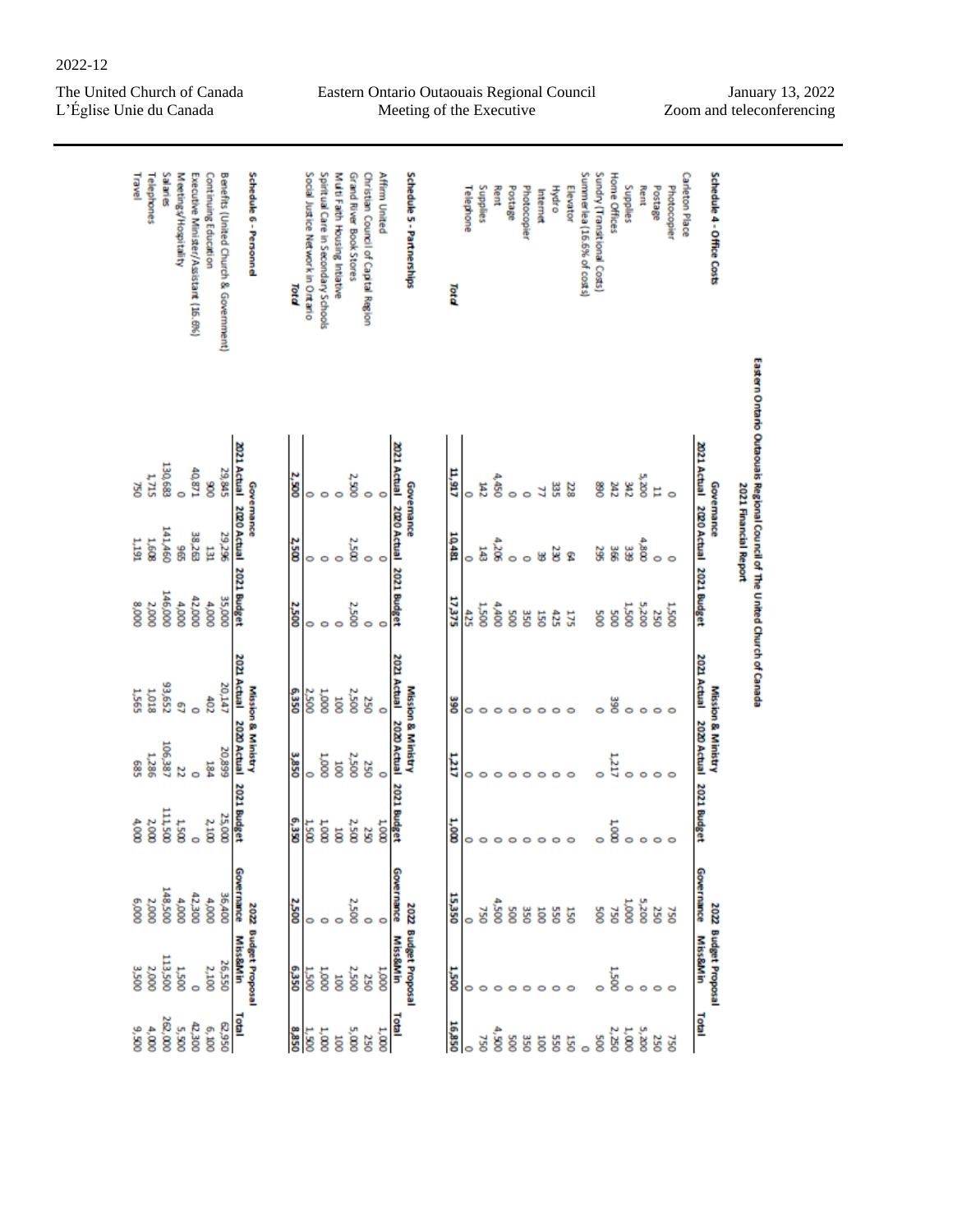2022-12

Eastern Ontario Outaouais Regional Council Meeting of the Executive

| Salaries<br>Meetings/Hospitality |         |              | Executive Minister/Assistant (16.6%) | Continuing Education | Benefits (United Church & Government) |                                     | Schedule 6 - Personnel        | Total        | Social Justice Network in Ontario | Spiritual Care in Secondary Schools | Muti Faith Housing Intiative | Grand River Book Stores | Christian Council of Capital Region | Affirm United |                                     | Schedule 5 - Partnerships     | Total      | Telephone | Supplies        | Rent  | Postage | <b>Photocopier</b> | Internet | <b>Hydro</b> | Elevator | Summerlea (16.6% of costs) | Sundry (Transit lonal Costs) | Home Offices     | Supplies | Rent  | Postage | Photocopier  | Carleton Place | Schedule 4 - Office Costs                                            | Eastern Ontario Outaouais Regional Council of The United Church of Canada |
|----------------------------------|---------|--------------|--------------------------------------|----------------------|---------------------------------------|-------------------------------------|-------------------------------|--------------|-----------------------------------|-------------------------------------|------------------------------|-------------------------|-------------------------------------|---------------|-------------------------------------|-------------------------------|------------|-----------|-----------------|-------|---------|--------------------|----------|--------------|----------|----------------------------|------------------------------|------------------|----------|-------|---------|--------------|----------------|----------------------------------------------------------------------|---------------------------------------------------------------------------|
| 1,715                            | 130,683 | ō            | 40,871                               | 8                    | 29,845                                |                                     |                               | 2,500        | 0                                 |                                     |                              | 2,500                   |                                     |               |                                     |                               | 11,917     | 0         | E <sub>12</sub> | 4,450 | 0       |                    |          | 볆            | 23       |                            | 8                            | 2RZ              | 342      | 5,200 | Е       |              |                |                                                                      |                                                                           |
| 1,608                            | 141,460 | ğ.           | 38,263                               | 눱                    | 29,298                                | 2021 Actual 2020 Actual 2021 Budget | Governance                    | <b>2,500</b> | 0                                 | ۰                                   |                              | 2,500                   |                                     |               | 2021 Actual 2020 Actual 2021 Budget | Governance                    | 10,481     | 0         | ä               | 4,205 | ۰       |                    | ₩        | š            | Ϋ        |                            | 38                           | ă                | ee<br>G  | 4,800 | ۰       | $\circ$      |                | 2021 Actual 2020 Actual 2021 Budget<br>Governance                    | 2021 Financial Report                                                     |
| 2,000                            | 146,000 | 4,000        | 42,000                               | 4,000                | 35,000                                |                                     |                               | <b>2,500</b> | 0                                 | ۰                                   |                              | 2,500                   |                                     | ۰             |                                     |                               | 17,375     | 425       | <b>1.500</b>    | 4,400 | ğ       | 350                | 5g       | 425          | 175      |                            | Soo                          | SOO <sub>5</sub> | 1,500    | 002'S | 250     | <b>1,500</b> |                |                                                                      |                                                                           |
| 1,018                            | 33,652  | g            | ò                                    | $rac{1}{20}$         | 20,147                                | 2021 Actual                         |                               | 6,350        | 2,500                             | 2000 <sub>1</sub>                   | $\overline{5}$               | 2,500                   | 250                                 | ۰             |                                     |                               | ទី         | 0         | 0               |       | e       |                    | 0        | ۰            | o        |                            | 0                            | <b>SSC</b>       | ۰        | ۰     | ۰       |              |                |                                                                      |                                                                           |
| 1,286                            | 106,387 | N            | ō                                    | 184                  | 20,899                                |                                     | <b>Mission &amp; Ministry</b> | 3,850        | 0                                 | 000'T                               | ö                            | 2,500                   | 250                                 | $\circ$       | 2021 Actual 2020 Actual 2021 Budget | <b>Mission &amp; Ministry</b> | IΕT        | 0         | ۰               |       |         |                    | 0        | 0            |          |                            |                              | LIZT             |          |       |         |              |                | 2021 Actual 2020 Actual 2021 Budget<br><b>Mission &amp; Ministry</b> |                                                                           |
| 2,000                            | 111,500 | <b>T500</b>  | ò                                    | 2,100                | 25,000                                | 2020 Actual 2021 Budget             |                               | 6,350        | 1.500                             | $\frac{1}{2}$                       | ä                            | 2,500                   | <b>SS</b>                           | 2000          |                                     |                               | ີ່         | 0         | $\circ$         | 0     | 0       |                    | ۰        | ۰            | 0        |                            | 0                            | 1000             |          | ۰     | ۰       |              |                |                                                                      |                                                                           |
| 2,000                            | 148,500 | 4,000        | 42,300                               | 4,000                | 36,400                                | <b>Governance</b>                   |                               | <b>2,500</b> | 0                                 | ۰                                   | o                            | 2,500                   |                                     | ۰             | Governance                          |                               | 15,350     | ō         | <b>GZ</b>       | 4,500 | ğ       | 350                | ā        | 550          | 150      |                            | Soc                          | 750              | 1,000    | 5,200 | 250     | <b>OSL</b>   |                | Governance                                                           |                                                                           |
| 2,000                            | 113,500 | <b>1.500</b> | ò                                    | 2,100                | 26,550                                | Miss&Min                            | 2022 Budget Proposal          | 6,350        | $\frac{1.500}{2}$                 | 1,000                               | <b>Tioc</b>                  | 2,500                   | 250                                 | 000'T         | Miss&Min                            | 2022 Budget Proposal          | <b>Sac</b> | o         |                 |       |         |                    | o        | 0            |          |                            |                              | 1,500            |          | o     | $\circ$ |              |                | 2022 Budget Proposal<br>Miss&Min                                     |                                                                           |
| 005'6<br>4,000                   | 262,000 | 5,500        | 42,300                               | 6,1000               | 056'29                                | Total                               |                               | 8,850        | 1,500                             | 1,000                               | ö                            | 5,000                   | 250                                 | 1,000         | Total                               |                               | 16,850     |           | šć              | ġ     | ğ       | 350                | ā        | 550          | 150      |                            | 500                          | 2,250            | 1,000    | 5,200 | 250     | <b>OSL</b>   |                | Total                                                                |                                                                           |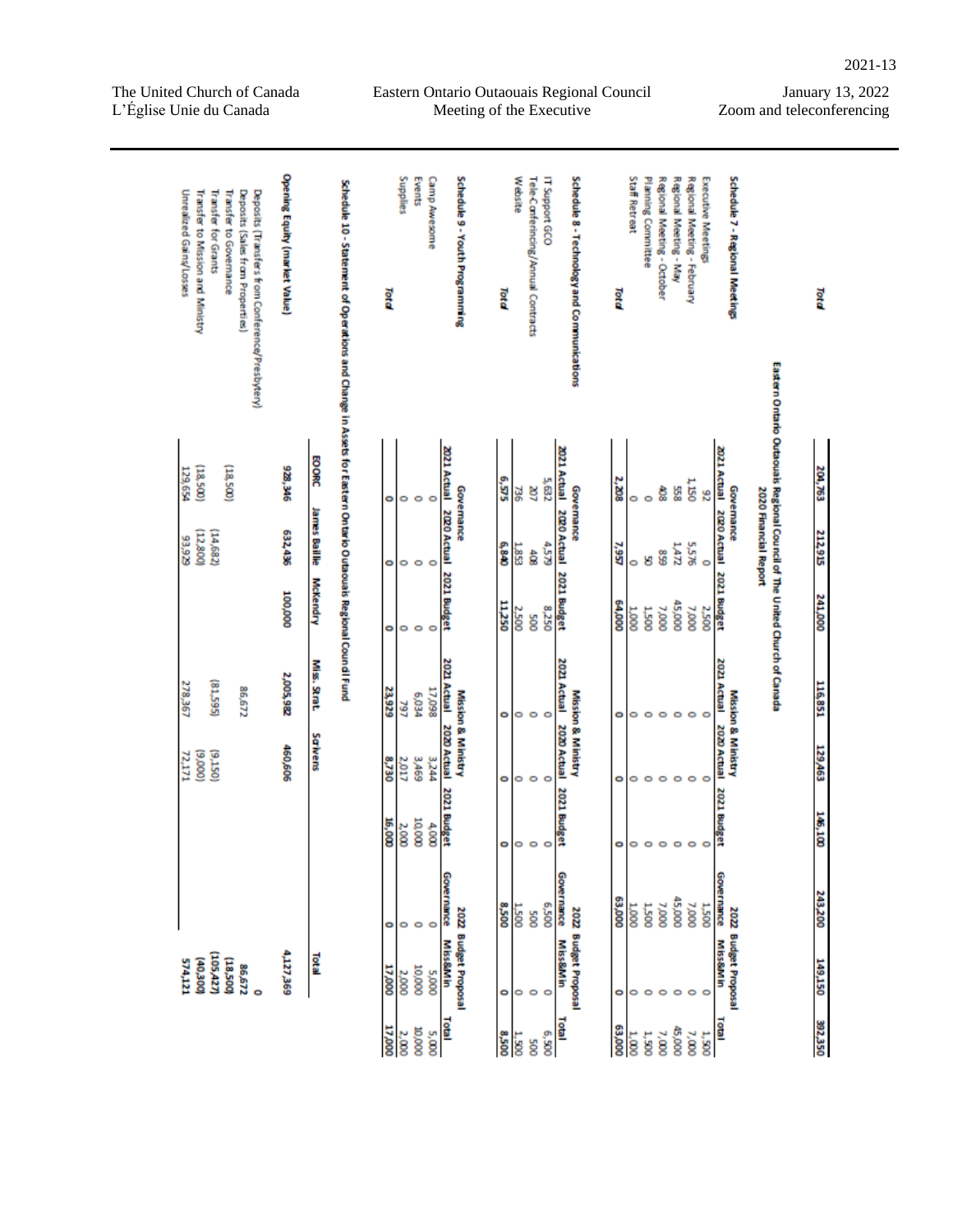Eastern Ontario Outaouais Regional Council Meeting of the Executive

| Transfer to Governance<br>Unrealized Gains/Losses<br>Transfer to Mission and Ministry<br>Transfer for Grants<br>Deposits (Sales from Properties)<br>Deposits (Transfers from Conference/Presbytery) | <b>Opening Equity (market Value)</b> |               | Schedule 10 - Statement of Operations and Change in Assets for Eastern Ontario Outaouals Regional Cound I Fund | Total  | Supplies | Events       | Camp Awesome | Schedule 9 - Youth Programming                    | Total        | Website | Tele-Canferincing/Annual Contracts | IT Support GCO |                                     | Schedule 8 - Technology and Communications | Total  | Staff Retreat         | Planning Committee | Regional Meeting - October | Regional Meeting - May | Regional Meeting - February | Executive Meetings | Schedule 7 - Regional Meetings               |                                                                           | Total   |
|-----------------------------------------------------------------------------------------------------------------------------------------------------------------------------------------------------|--------------------------------------|---------------|----------------------------------------------------------------------------------------------------------------|--------|----------|--------------|--------------|---------------------------------------------------|--------------|---------|------------------------------------|----------------|-------------------------------------|--------------------------------------------|--------|-----------------------|--------------------|----------------------------|------------------------|-----------------------------|--------------------|----------------------------------------------|---------------------------------------------------------------------------|---------|
| (18,500)<br>(18,500)<br>129,654                                                                                                                                                                     | 928,346                              | <b>EOORC</b>  |                                                                                                                | ۰      | 0        | ۰            | $\circ$      | 2021 Actual 2020 Actual 2021 Budget<br>Governance | e,sas        | 넗       | g                                  | 5,632          | 2021 Actual 2020 Actual 2021 Budget | Governance                                 | 2,208  | 0                     | ۰                  | ĝ,                         | 558                    | 1,150                       | 92                 | 2021 Actual<br>Governance                    | Eastern Ontario Outaouais Regional Council of The United Church of Canada | 204,763 |
| (12,800)<br>(14,682)<br>63,929                                                                                                                                                                      | 632,436                              | James Baillie |                                                                                                                | ۰      | ۰        | $\circ$      | $\circ$      |                                                   | 6,840        | 1,853   | និ                                 | <b>4.5.79</b>  |                                     |                                            | 7,957  | 0                     | ष्ठ                | GS 8                       | 147                    | 5,576                       | $\circ$            | 2020 Actual 2021 Budget                      | 2020 Financial Report                                                     | 212,915 |
|                                                                                                                                                                                                     | 000'001                              | McKendry      |                                                                                                                | ۰      | 0        | ۰            | $\circ$      |                                                   | 11,250       | 2,500   | ğ                                  | 8,250          |                                     |                                            | 000'79 | $\frac{10001}{2000}$  | <b>1,500</b>       | 7,000                      | 45,000                 | 7,000                       | 2,500              |                                              |                                                                           | 241,000 |
| (\$1,595)<br>278,367<br>86,672                                                                                                                                                                      | 2,005,982                            | Miss. Strat.  |                                                                                                                | 23,929 | 797      | <b>PEO'9</b> | 17,098       | 2021 Actual                                       | ۰            | ۰       | $\circ$                            | ۰              | 2021 Actual                         |                                            | ۰      | 0                     | $\circ$            | $\circ$                    | ۰                      |                             |                    | 2021 Actual                                  |                                                                           | 116,851 |
| (000'6)<br>(9.150)<br>72,171                                                                                                                                                                        | 460,606                              | Sawens        |                                                                                                                | 8,730  | 2,017    | 3,469        | 3,244        | <b>Mission &amp; Ministry</b><br>2020 Actual      | ۰            | ۰       | $\circ$                            | $\circ$        | 2020 Actual                         | Mission & Ministry                         | ۰      | 0                     | ۰                  | $\circ$                    | $\circ$                | ۰                           |                    | <b>Mission &amp; Ministry</b><br>2020 Actual |                                                                           | 129,463 |
|                                                                                                                                                                                                     |                                      |               |                                                                                                                | 16,000 | 2,000    | 10,000       | 4,000        | 2021 Budget                                       | ۰            | ۰       | $\circ$                            | ۰              | 2021 Budget                         |                                            | ۰      | 0                     | $\circ$            | $\circ$                    | $\circ$                |                             |                    | 2021 Budget                                  |                                                                           | 146,100 |
|                                                                                                                                                                                                     |                                      |               |                                                                                                                | ۰      | 0        | ۰            | $\circ$      | Governance                                        | <b>OOS'8</b> | 1,500   | ğ                                  | 005'9          | Governance                          |                                            | 63,000 | $\frac{10000}{20000}$ | <b>1,500</b>       | 7,000                      | 45,000                 | 7,000                       | 1,500              | Governance                                   |                                                                           | 243,200 |
| (105,427)<br>(18,500)<br><b>(40,300)</b><br>574,121<br>86,672<br>ō                                                                                                                                  | 4,127,369                            | <b>Total</b>  |                                                                                                                | 17,000 | 2,000    | 10,000       | <b>5,000</b> | 2022 Budget Proposal<br>Miss&Min                  | ۰            | ۰       | $\circ$                            | O              | <b>Miss&amp;Min</b>                 | 2022 Budget Proposal                       | ۰      | 0                     | $\circ$            | $\circ$                    | $\circ$                | $\circ$                     | $\circ$            | 2022 Budget Proposal<br>Miss&Min             |                                                                           | 149,150 |
|                                                                                                                                                                                                     |                                      |               |                                                                                                                | 17,000 | 2,000    | 0000         | 5,000        | Total                                             | <b>OOS'8</b> | 1,500   | ğ                                  | 005'9          | <b>Total</b>                        |                                            | 000'E9 | 1,000                 | 1,500              | 7,000                      | 45,000                 | 7,000                       | 1,500              | <b>Total</b>                                 |                                                                           | 392,350 |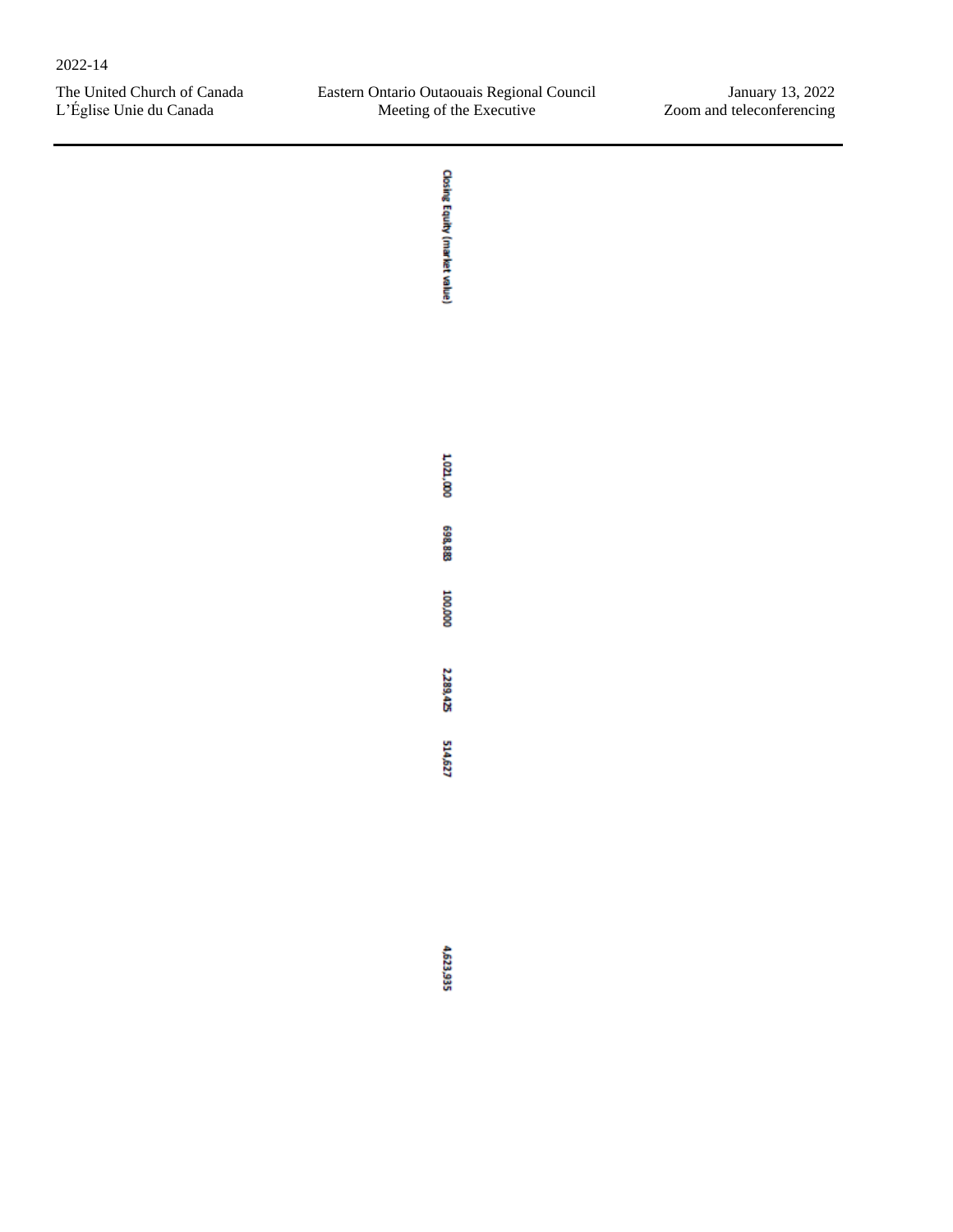**Closing Equity (market value)**  $1,021,000$ 698,883 000'001 2,289,425 514,627 4,623,935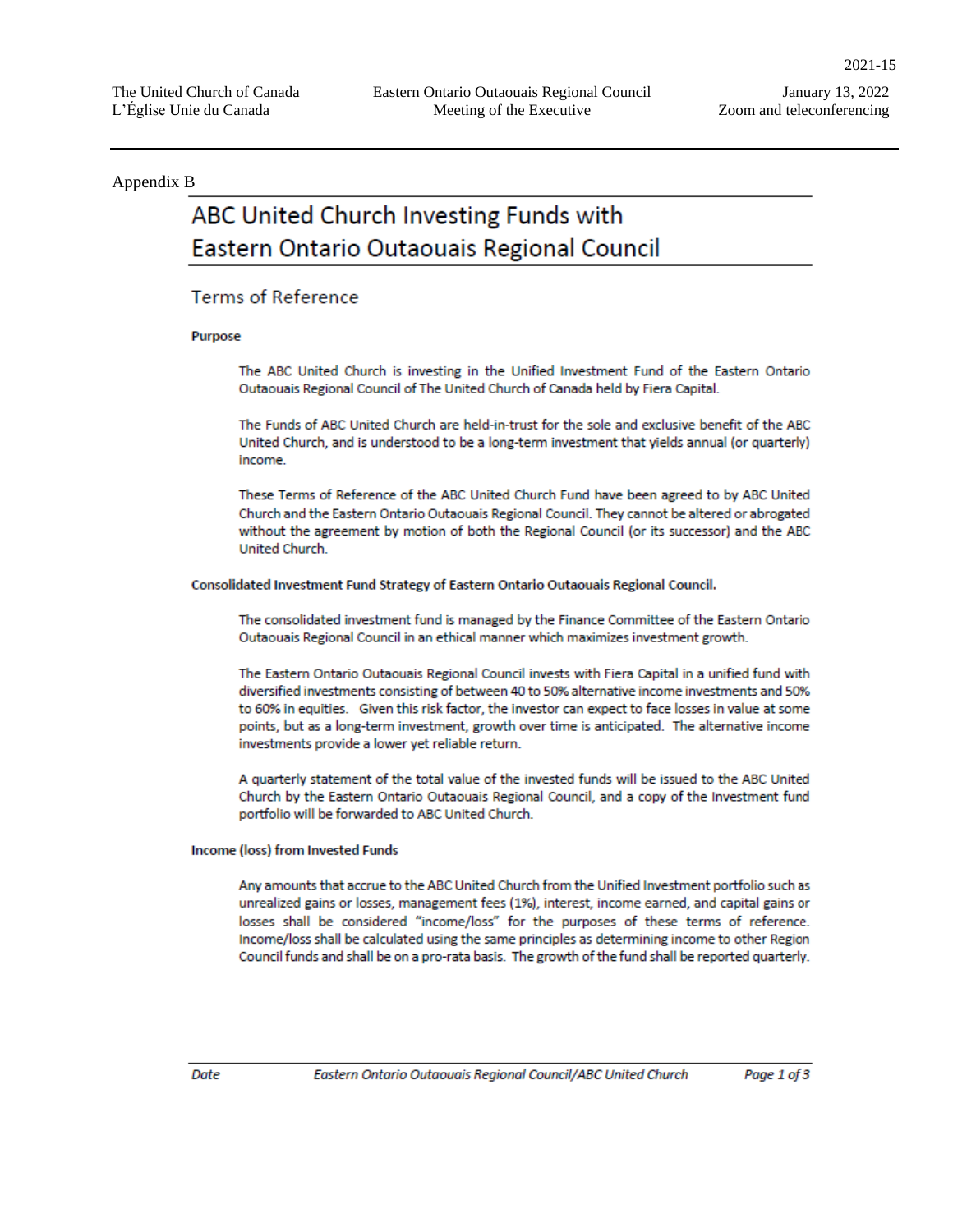#### Appendix B

# ABC United Church Investing Funds with Eastern Ontario Outaouais Regional Council

#### **Terms of Reference**

#### Purpose

The ABC United Church is investing in the Unified Investment Fund of the Eastern Ontario Outaouais Regional Council of The United Church of Canada held by Fiera Capital.

The Funds of ABC United Church are held-in-trust for the sole and exclusive benefit of the ABC United Church, and is understood to be a long-term investment that yields annual (or quarterly) income.

These Terms of Reference of the ABC United Church Fund have been agreed to by ABC United Church and the Eastern Ontario Outaouais Regional Council. They cannot be altered or abrogated without the agreement by motion of both the Regional Council (or its successor) and the ABC United Church.

#### Consolidated Investment Fund Strategy of Eastern Ontario Outaouais Regional Council.

The consolidated investment fund is managed by the Finance Committee of the Eastern Ontario Outaouais Regional Council in an ethical manner which maximizes investment growth.

The Eastern Ontario Outaouais Regional Council invests with Fiera Capital in a unified fund with diversified investments consisting of between 40 to 50% alternative income investments and 50% to 60% in equities. Given this risk factor, the investor can expect to face losses in value at some points, but as a long-term investment, growth over time is anticipated. The alternative income investments provide a lower yet reliable return.

A quarterly statement of the total value of the invested funds will be issued to the ABC United Church by the Eastern Ontario Outaouais Regional Council, and a copy of the Investment fund portfolio will be forwarded to ABC United Church.

#### Income (loss) from Invested Funds

Any amounts that accrue to the ABC United Church from the Unified Investment portfolio such as unrealized gains or losses, management fees (1%), interest, income earned, and capital gains or losses shall be considered "income/loss" for the purposes of these terms of reference. Income/loss shall be calculated using the same principles as determining income to other Region Council funds and shall be on a pro-rata basis. The growth of the fund shall be reported quarterly.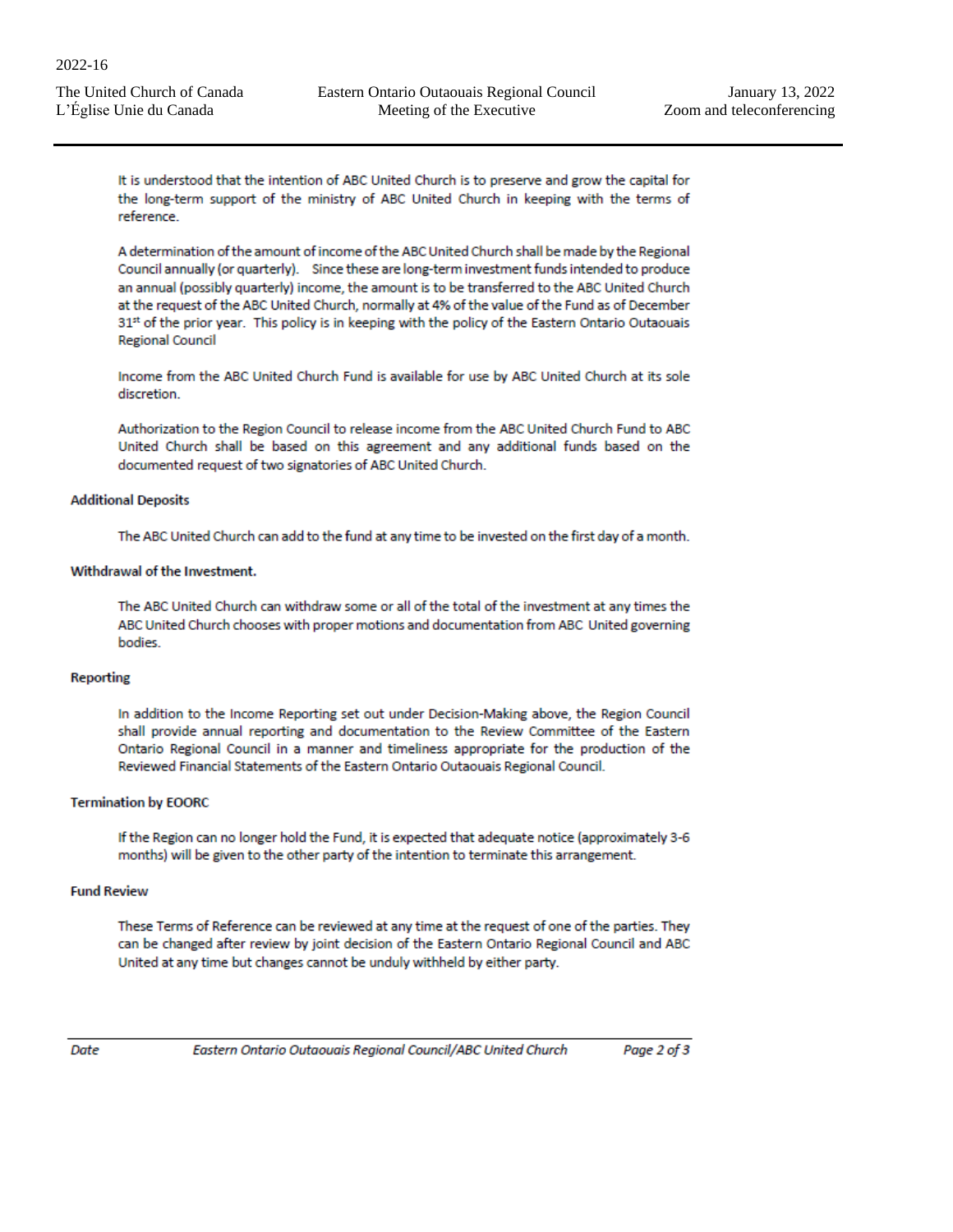It is understood that the intention of ABC United Church is to preserve and grow the capital for the long-term support of the ministry of ABC United Church in keeping with the terms of reference

A determination of the amount of income of the ABC United Church shall be made by the Regional Council annually (or quarterly). Since these are long-term investment funds intended to produce an annual (possibly quarterly) income, the amount is to be transferred to the ABC United Church at the request of the ABC United Church, normally at 4% of the value of the Fund as of December 31st of the prior year. This policy is in keeping with the policy of the Eastern Ontario Outaouais **Regional Council** 

Income from the ABC United Church Fund is available for use by ABC United Church at its sole discretion.

Authorization to the Region Council to release income from the ABC United Church Fund to ABC United Church shall be based on this agreement and any additional funds based on the documented request of two signatories of ABC United Church.

#### **Additional Deposits**

The ABC United Church can add to the fund at any time to be invested on the first day of a month.

#### Withdrawal of the Investment.

The ABC United Church can withdraw some or all of the total of the investment at any times the ABC United Church chooses with proper motions and documentation from ABC United governing bodies.

#### **Reporting**

In addition to the Income Reporting set out under Decision-Making above, the Region Council shall provide annual reporting and documentation to the Review Committee of the Eastern Ontario Regional Council in a manner and timeliness appropriate for the production of the Reviewed Financial Statements of the Eastern Ontario Outaouais Regional Council.

#### **Termination by EOORC**

If the Region can no longer hold the Fund, it is expected that adequate notice (approximately 3-6 months) will be given to the other party of the intention to terminate this arrangement.

#### **Fund Review**

These Terms of Reference can be reviewed at any time at the request of one of the parties. They can be changed after review by joint decision of the Eastern Ontario Regional Council and ABC United at any time but changes cannot be unduly withheld by either party.

Date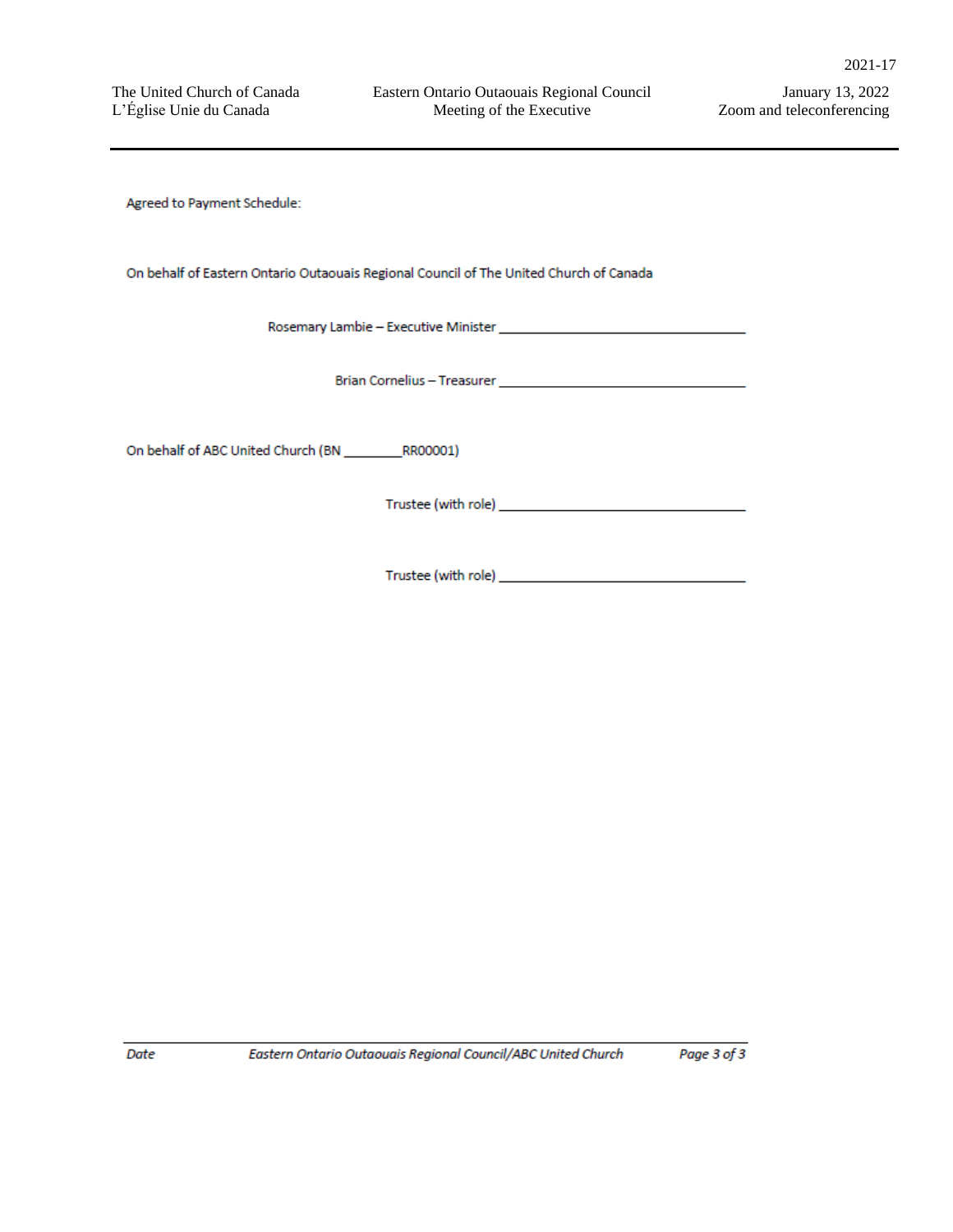Agreed to Payment Schedule:

On behalf of Eastern Ontario Outaouais Regional Council of The United Church of Canada

Date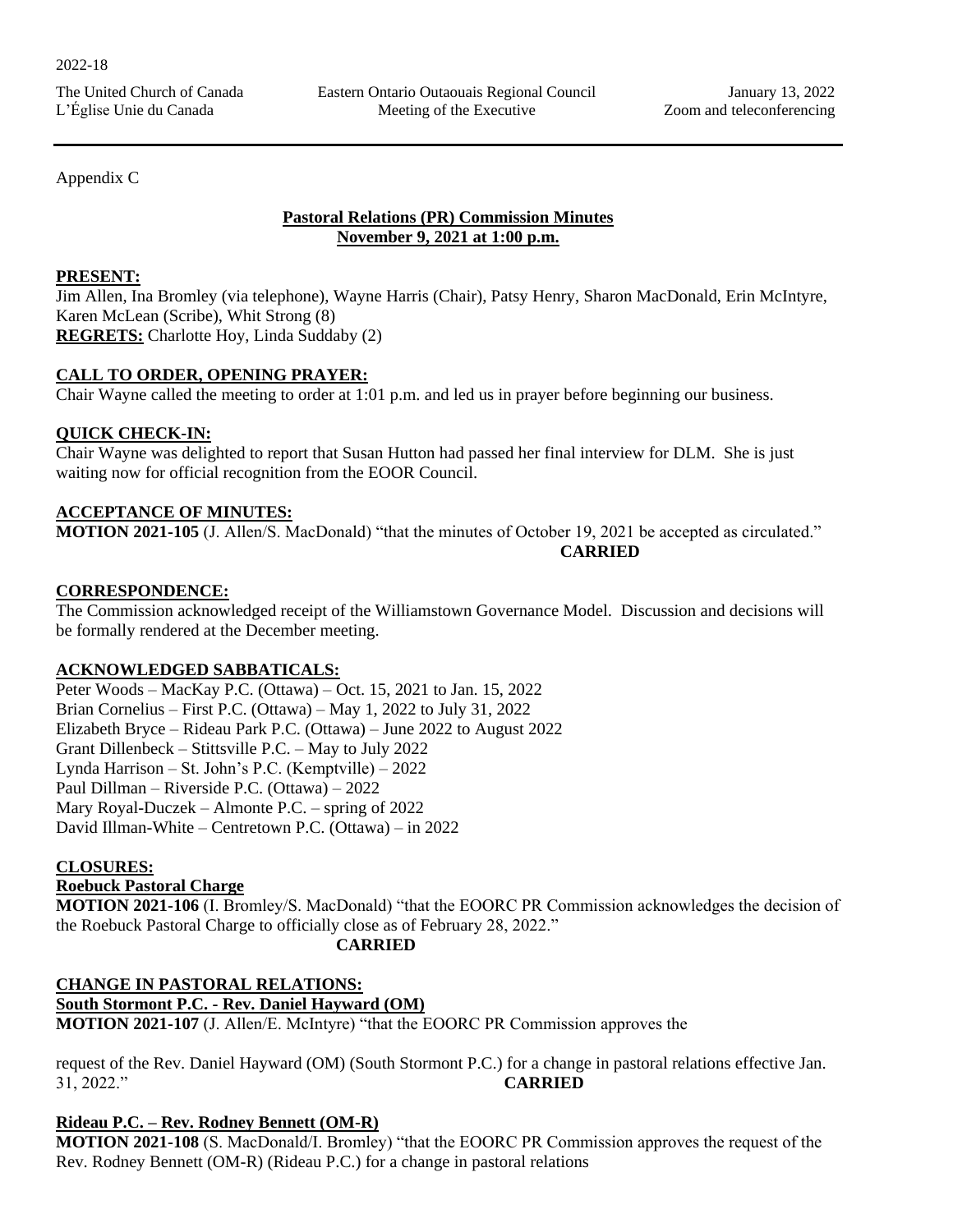Appendix C

## **Pastoral Relations (PR) Commission Minutes November 9, 2021 at 1:00 p.m.**

#### **PRESENT:**

Jim Allen, Ina Bromley (via telephone), Wayne Harris (Chair), Patsy Henry, Sharon MacDonald, Erin McIntyre, Karen McLean (Scribe), Whit Strong (8) **REGRETS:** Charlotte Hoy, Linda Suddaby (2)

#### **CALL TO ORDER, OPENING PRAYER:**

Chair Wayne called the meeting to order at 1:01 p.m. and led us in prayer before beginning our business.

#### **QUICK CHECK-IN:**

Chair Wayne was delighted to report that Susan Hutton had passed her final interview for DLM. She is just waiting now for official recognition from the EOOR Council.

## **ACCEPTANCE OF MINUTES:**

**MOTION 2021-105** (J. Allen/S. MacDonald) "that the minutes of October 19, 2021 be accepted as circulated." **CARRIED**

#### **CORRESPONDENCE:**

The Commission acknowledged receipt of the Williamstown Governance Model. Discussion and decisions will be formally rendered at the December meeting.

## **ACKNOWLEDGED SABBATICALS:**

Peter Woods – MacKay P.C. (Ottawa) – Oct. 15, 2021 to Jan. 15, 2022 Brian Cornelius – First P.C. (Ottawa) – May 1, 2022 to July 31, 2022 Elizabeth Bryce – Rideau Park P.C. (Ottawa) – June 2022 to August 2022 Grant Dillenbeck – Stittsville P.C. – May to July 2022 Lynda Harrison – St. John's P.C. (Kemptville) – 2022 Paul Dillman – Riverside P.C. (Ottawa) – 2022 Mary Royal-Duczek – Almonte P.C. – spring of 2022 David Illman-White – Centretown P.C. (Ottawa) – in 2022

## **CLOSURES:**

## **Roebuck Pastoral Charge**

**MOTION 2021-106** (I. Bromley/S. MacDonald) "that the EOORC PR Commission acknowledges the decision of the Roebuck Pastoral Charge to officially close as of February 28, 2022."

#### **CARRIED**

**CHANGE IN PASTORAL RELATIONS: South Stormont P.C. - Rev. Daniel Hayward (OM) MOTION 2021-107** (J. Allen/E. McIntyre) "that the EOORC PR Commission approves the

request of the Rev. Daniel Hayward (OM) (South Stormont P.C.) for a change in pastoral relations effective Jan. 31, 2022." **CARRIED**

## **Rideau P.C. – Rev. Rodney Bennett (OM-R)**

**MOTION 2021-108** (S. MacDonald/I. Bromley) "that the EOORC PR Commission approves the request of the Rev. Rodney Bennett (OM-R) (Rideau P.C.) for a change in pastoral relations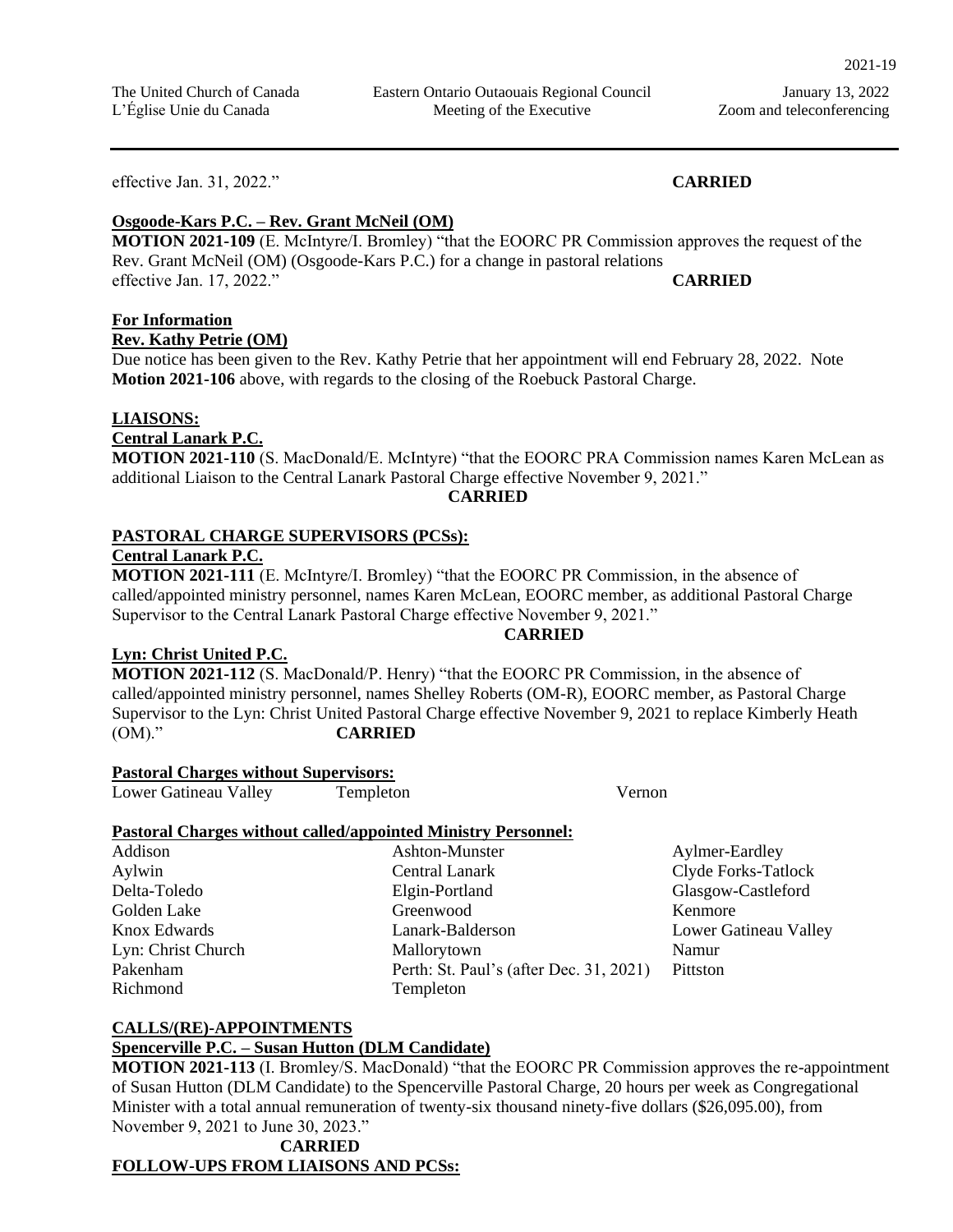2021-19

effective Jan. 31, 2022." **CARRIED**

#### **Osgoode-Kars P.C. – Rev. Grant McNeil (OM)**

**MOTION 2021-109** (E. McIntyre/I. Bromley) "that the EOORC PR Commission approves the request of the Rev. Grant McNeil (OM) (Osgoode-Kars P.C.) for a change in pastoral relations effective Jan. 17, 2022." **CARRIED**

## **For Information**

**Rev. Kathy Petrie (OM)**

Due notice has been given to the Rev. Kathy Petrie that her appointment will end February 28, 2022. Note **Motion 2021-106** above, with regards to the closing of the Roebuck Pastoral Charge.

#### **LIAISONS:**

**Central Lanark P.C.**

**MOTION 2021-110** (S. MacDonald/E. McIntyre) "that the EOORC PRA Commission names Karen McLean as additional Liaison to the Central Lanark Pastoral Charge effective November 9, 2021."

#### **CARRIED**

#### **PASTORAL CHARGE SUPERVISORS (PCSs):**

**Central Lanark P.C.** 

**MOTION 2021-111** (E. McIntyre/I. Bromley) "that the EOORC PR Commission, in the absence of called/appointed ministry personnel, names Karen McLean, EOORC member, as additional Pastoral Charge Supervisor to the Central Lanark Pastoral Charge effective November 9, 2021."

#### **CARRIED**

#### **Lyn: Christ United P.C.**

**MOTION 2021-112** (S. MacDonald/P. Henry) "that the EOORC PR Commission, in the absence of called/appointed ministry personnel, names Shelley Roberts (OM-R), EOORC member, as Pastoral Charge Supervisor to the Lyn: Christ United Pastoral Charge effective November 9, 2021 to replace Kimberly Heath (OM)." **CARRIED**

#### **Pastoral Charges without Supervisors:**

Lower Gatineau Valley Templeton Vernon

#### **Pastoral Charges without called/appointed Ministry Personnel:**

Richmond Templeton

Addison Ashton-Munster Aylmer-Eardley Aylwin Central Lanark Contral Control Clyde Forks-Tatlock Delta-Toledo Elgin-Portland Glasgow-Castleford Golden Lake Greenwood Greenwood Kenmore Knox Edwards Lanark-Balderson Lower Gatineau Valley Lyn: Christ Church Mallorytown Mallorytown Namur Pakenham Perth: St. Paul's (after Dec. 31, 2021) Pittston

#### **CALLS/(RE)-APPOINTMENTS**

#### **Spencerville P.C. – Susan Hutton (DLM Candidate)**

**MOTION 2021-113** (I. Bromley/S. MacDonald) "that the EOORC PR Commission approves the re-appointment of Susan Hutton (DLM Candidate) to the Spencerville Pastoral Charge, 20 hours per week as Congregational Minister with a total annual remuneration of twenty-six thousand ninety-five dollars (\$26,095.00), from November 9, 2021 to June 30, 2023."

## **CARRIED FOLLOW-UPS FROM LIAISONS AND PCSs:**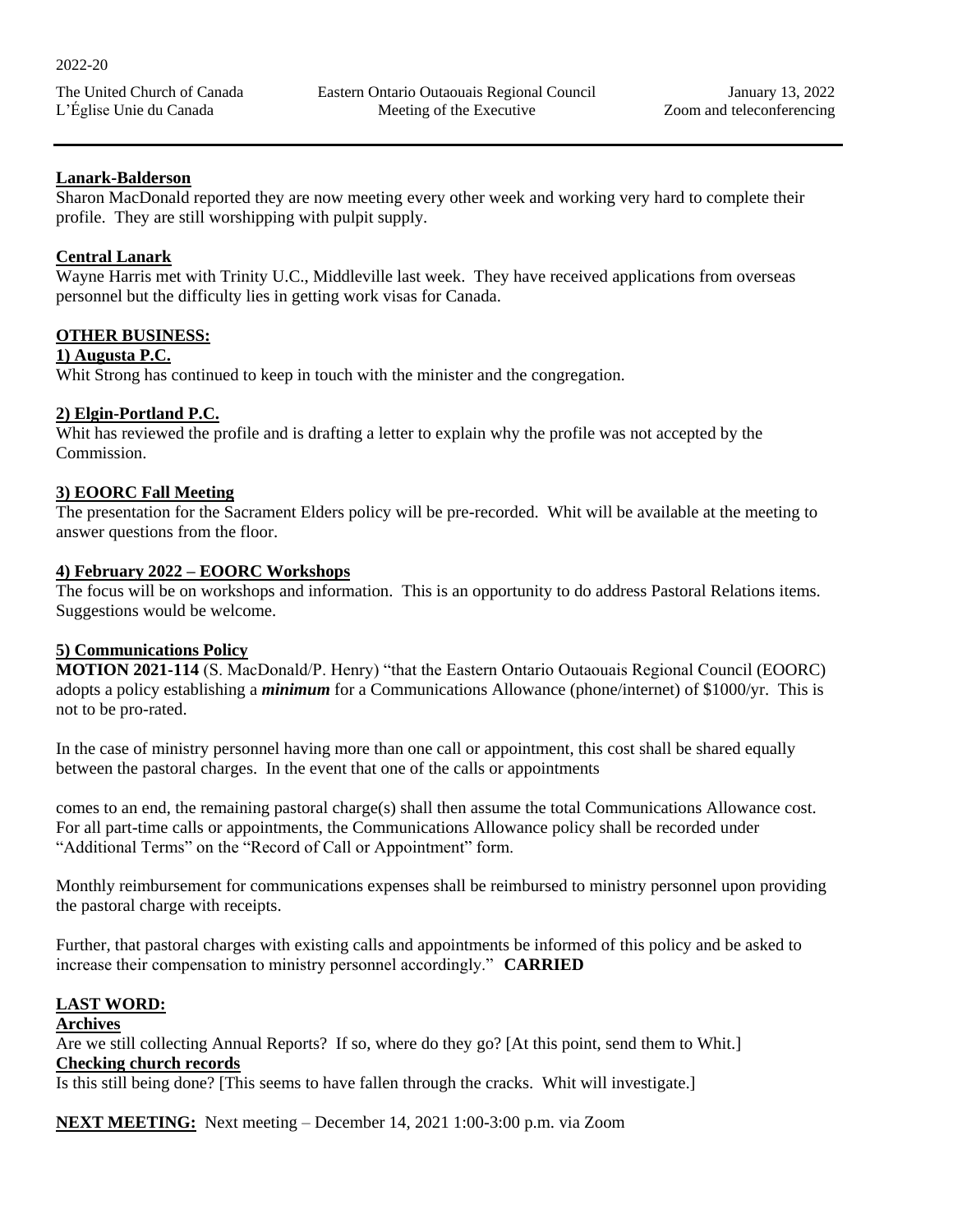#### **Lanark-Balderson**

Sharon MacDonald reported they are now meeting every other week and working very hard to complete their profile. They are still worshipping with pulpit supply.

#### **Central Lanark**

Wayne Harris met with Trinity U.C., Middleville last week. They have received applications from overseas personnel but the difficulty lies in getting work visas for Canada.

#### **OTHER BUSINESS:**

#### **1) Augusta P.C.**

Whit Strong has continued to keep in touch with the minister and the congregation.

#### **2) Elgin-Portland P.C.**

Whit has reviewed the profile and is drafting a letter to explain why the profile was not accepted by the Commission.

#### **3) EOORC Fall Meeting**

The presentation for the Sacrament Elders policy will be pre-recorded. Whit will be available at the meeting to answer questions from the floor.

#### **4) February 2022 – EOORC Workshops**

The focus will be on workshops and information. This is an opportunity to do address Pastoral Relations items. Suggestions would be welcome.

#### **5) Communications Policy**

**MOTION 2021-114** (S. MacDonald/P. Henry) "that the Eastern Ontario Outaouais Regional Council (EOORC) adopts a policy establishing a *minimum* for a Communications Allowance (phone/internet) of \$1000/yr. This is not to be pro-rated.

In the case of ministry personnel having more than one call or appointment, this cost shall be shared equally between the pastoral charges. In the event that one of the calls or appointments

comes to an end, the remaining pastoral charge(s) shall then assume the total Communications Allowance cost. For all part-time calls or appointments, the Communications Allowance policy shall be recorded under "Additional Terms" on the "Record of Call or Appointment" form.

Monthly reimbursement for communications expenses shall be reimbursed to ministry personnel upon providing the pastoral charge with receipts.

Further, that pastoral charges with existing calls and appointments be informed of this policy and be asked to increase their compensation to ministry personnel accordingly." **CARRIED**

## **LAST WORD:**

#### **Archives**

Are we still collecting Annual Reports? If so, where do they go? [At this point, send them to Whit.] **Checking church records**

Is this still being done? [This seems to have fallen through the cracks. Whit will investigate.]

**NEXT MEETING:** Next meeting – December 14, 2021 1:00-3:00 p.m. via Zoom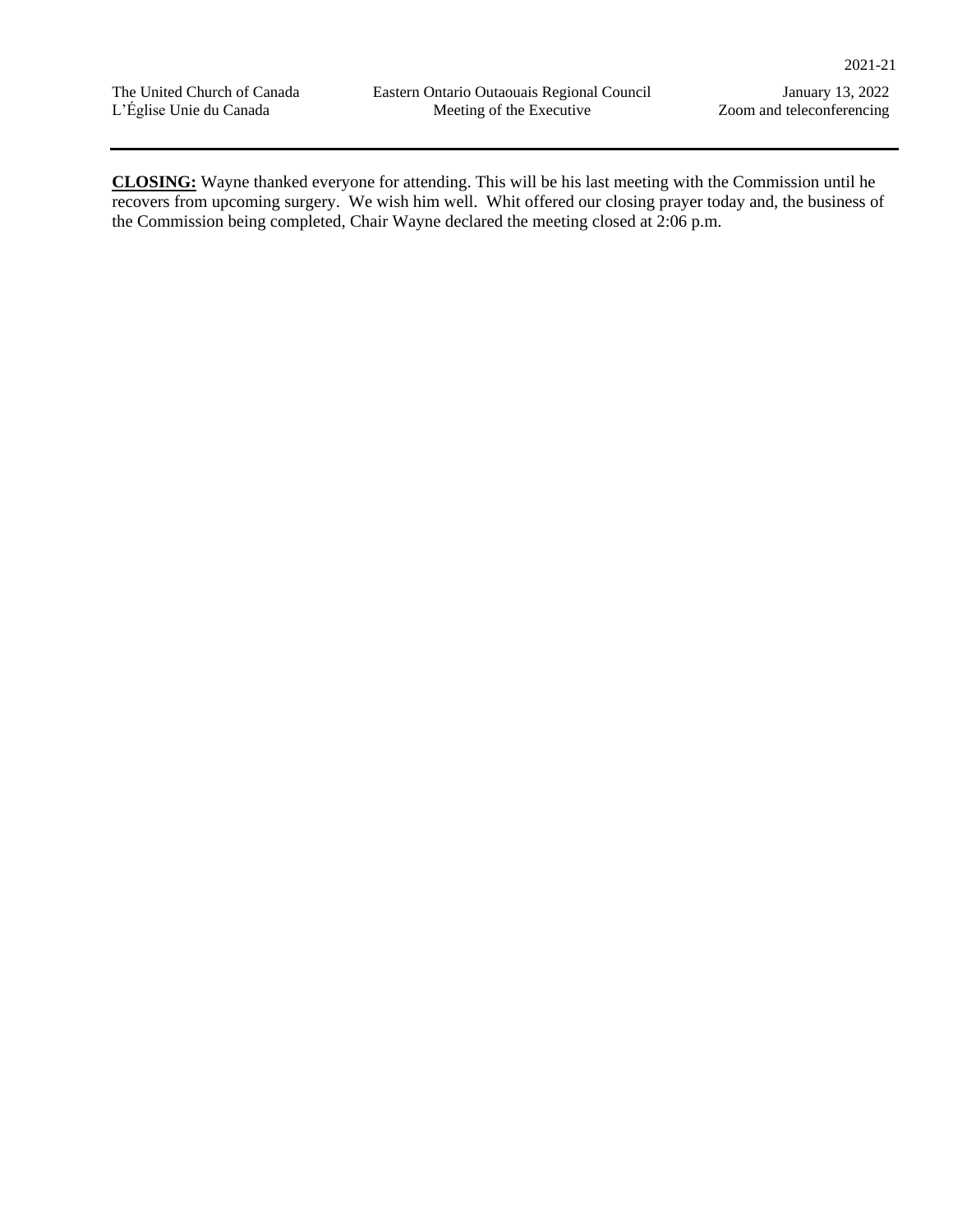**CLOSING:** Wayne thanked everyone for attending. This will be his last meeting with the Commission until he recovers from upcoming surgery. We wish him well. Whit offered our closing prayer today and, the business of the Commission being completed, Chair Wayne declared the meeting closed at 2:06 p.m.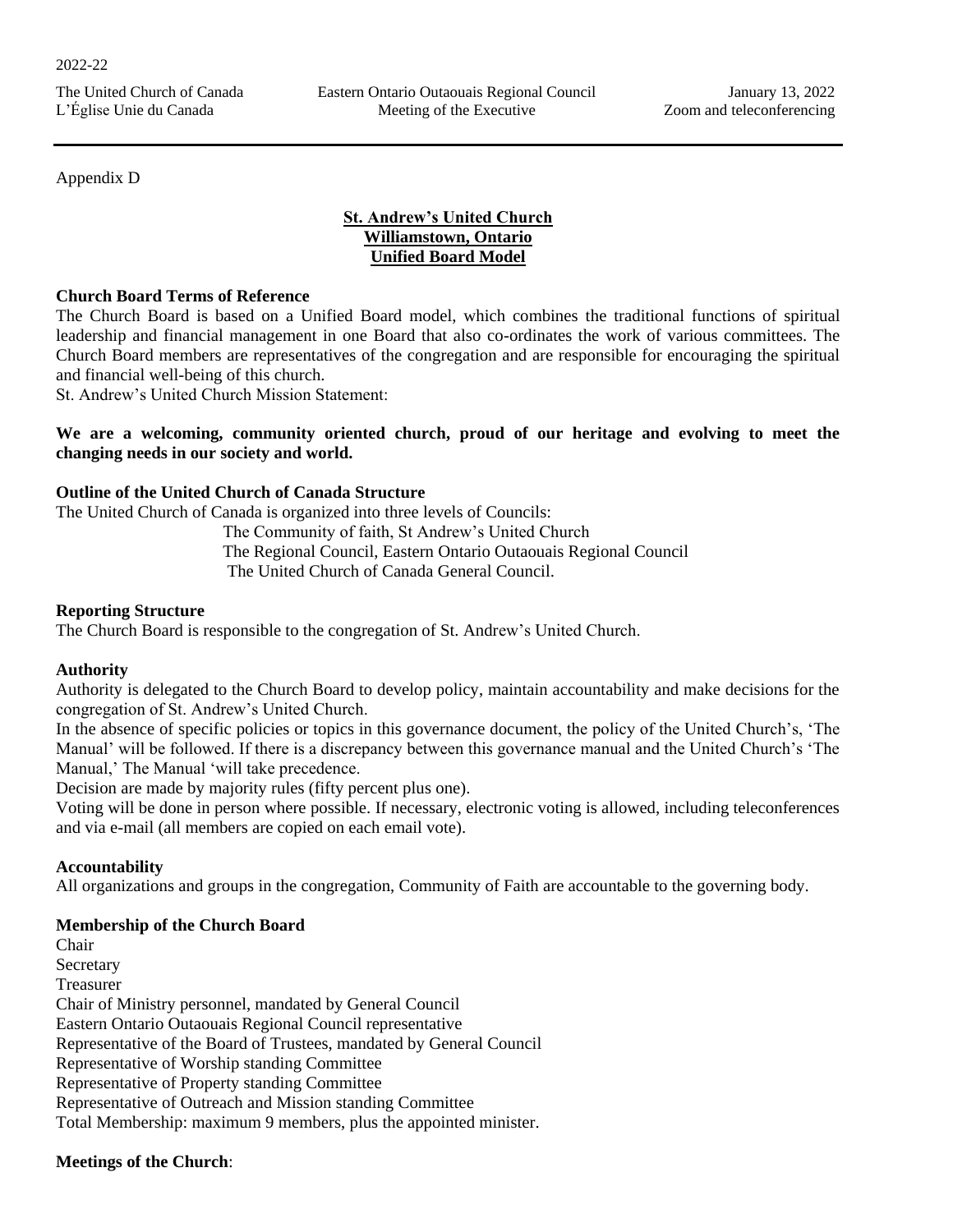Appendix D

## **St. Andrew's United Church Williamstown, Ontario Unified Board Model**

#### **Church Board Terms of Reference**

The Church Board is based on a Unified Board model, which combines the traditional functions of spiritual leadership and financial management in one Board that also co-ordinates the work of various committees. The Church Board members are representatives of the congregation and are responsible for encouraging the spiritual and financial well-being of this church.

St. Andrew's United Church Mission Statement:

#### **We are a welcoming, community oriented church, proud of our heritage and evolving to meet the changing needs in our society and world.**

#### **Outline of the United Church of Canada Structure**

The United Church of Canada is organized into three levels of Councils:

 The Community of faith, St Andrew's United Church The Regional Council, Eastern Ontario Outaouais Regional Council The United Church of Canada General Council.

#### **Reporting Structure**

The Church Board is responsible to the congregation of St. Andrew's United Church.

#### **Authority**

Authority is delegated to the Church Board to develop policy, maintain accountability and make decisions for the congregation of St. Andrew's United Church.

In the absence of specific policies or topics in this governance document, the policy of the United Church's, 'The Manual' will be followed. If there is a discrepancy between this governance manual and the United Church's 'The Manual,' The Manual 'will take precedence.

Decision are made by majority rules (fifty percent plus one).

Voting will be done in person where possible. If necessary, electronic voting is allowed, including teleconferences and via e-mail (all members are copied on each email vote).

#### **Accountability**

All organizations and groups in the congregation, Community of Faith are accountable to the governing body.

#### **Membership of the Church Board**

Chair **Secretary** Treasurer Chair of Ministry personnel, mandated by General Council Eastern Ontario Outaouais Regional Council representative Representative of the Board of Trustees, mandated by General Council Representative of Worship standing Committee Representative of Property standing Committee Representative of Outreach and Mission standing Committee Total Membership: maximum 9 members, plus the appointed minister.

#### **Meetings of the Church**: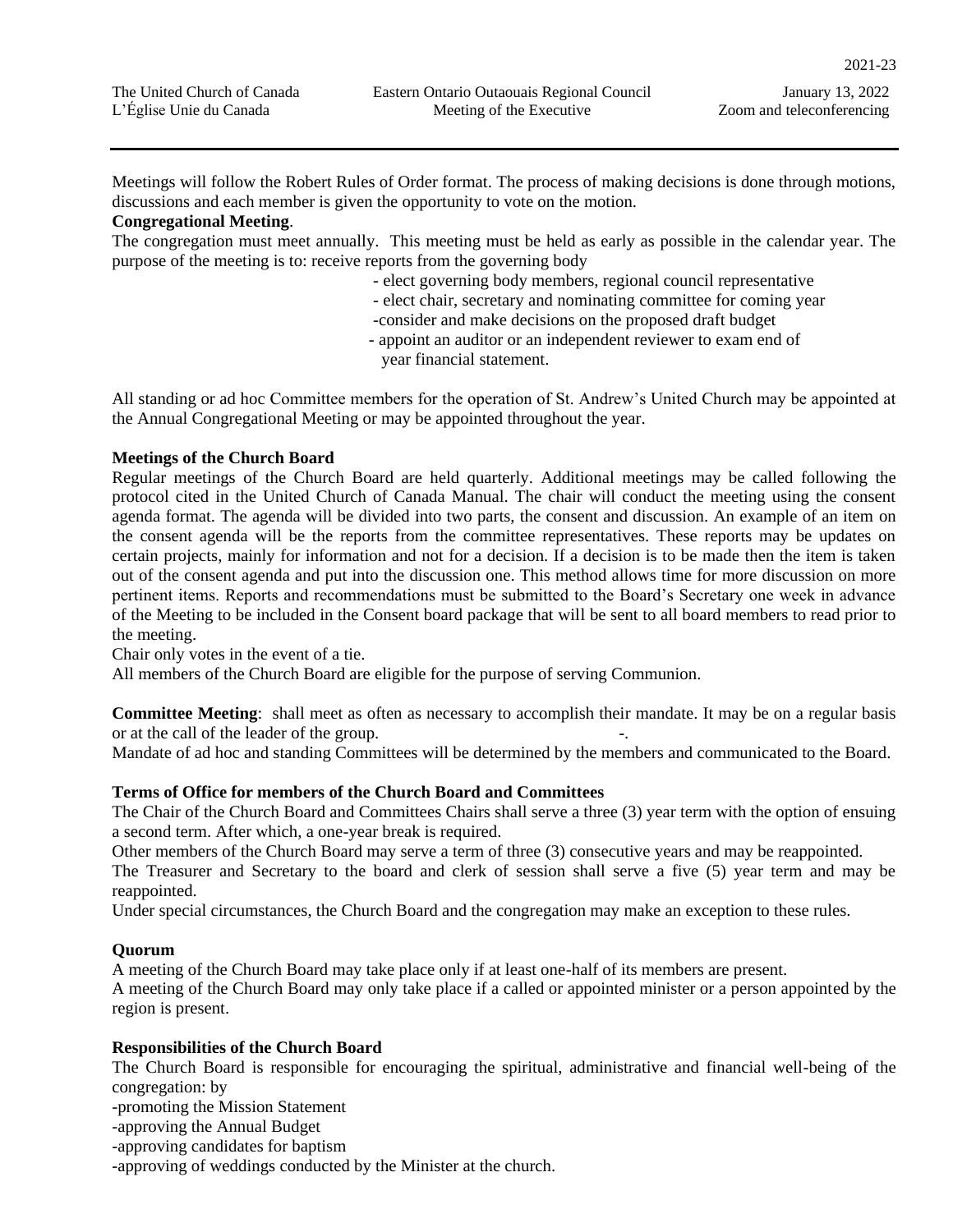Meetings will follow the Robert Rules of Order format. The process of making decisions is done through motions, discussions and each member is given the opportunity to vote on the motion.

#### **Congregational Meeting**.

The congregation must meet annually. This meeting must be held as early as possible in the calendar year. The purpose of the meeting is to: receive reports from the governing body

- elect governing body members, regional council representative
- elect chair, secretary and nominating committee for coming year
- -consider and make decisions on the proposed draft budget
- appoint an auditor or an independent reviewer to exam end of year financial statement.

All standing or ad hoc Committee members for the operation of St. Andrew's United Church may be appointed at the Annual Congregational Meeting or may be appointed throughout the year.

#### **Meetings of the Church Board**

Regular meetings of the Church Board are held quarterly. Additional meetings may be called following the protocol cited in the United Church of Canada Manual. The chair will conduct the meeting using the consent agenda format. The agenda will be divided into two parts, the consent and discussion. An example of an item on the consent agenda will be the reports from the committee representatives. These reports may be updates on certain projects, mainly for information and not for a decision. If a decision is to be made then the item is taken out of the consent agenda and put into the discussion one. This method allows time for more discussion on more pertinent items. Reports and recommendations must be submitted to the Board's Secretary one week in advance of the Meeting to be included in the Consent board package that will be sent to all board members to read prior to the meeting.

Chair only votes in the event of a tie.

All members of the Church Board are eligible for the purpose of serving Communion.

**Committee Meeting**: shall meet as often as necessary to accomplish their mandate. It may be on a regular basis or at the call of the leader of the group.

Mandate of ad hoc and standing Committees will be determined by the members and communicated to the Board.

#### **Terms of Office for members of the Church Board and Committees**

The Chair of the Church Board and Committees Chairs shall serve a three (3) year term with the option of ensuing a second term. After which, a one-year break is required.

Other members of the Church Board may serve a term of three (3) consecutive years and may be reappointed.

The Treasurer and Secretary to the board and clerk of session shall serve a five (5) year term and may be reappointed.

Under special circumstances, the Church Board and the congregation may make an exception to these rules.

#### **Quorum**

A meeting of the Church Board may take place only if at least one-half of its members are present. A meeting of the Church Board may only take place if a called or appointed minister or a person appointed by the region is present.

#### **Responsibilities of the Church Board**

The Church Board is responsible for encouraging the spiritual, administrative and financial well-being of the congregation: by

-promoting the Mission Statement

-approving the Annual Budget

-approving candidates for baptism

-approving of weddings conducted by the Minister at the church.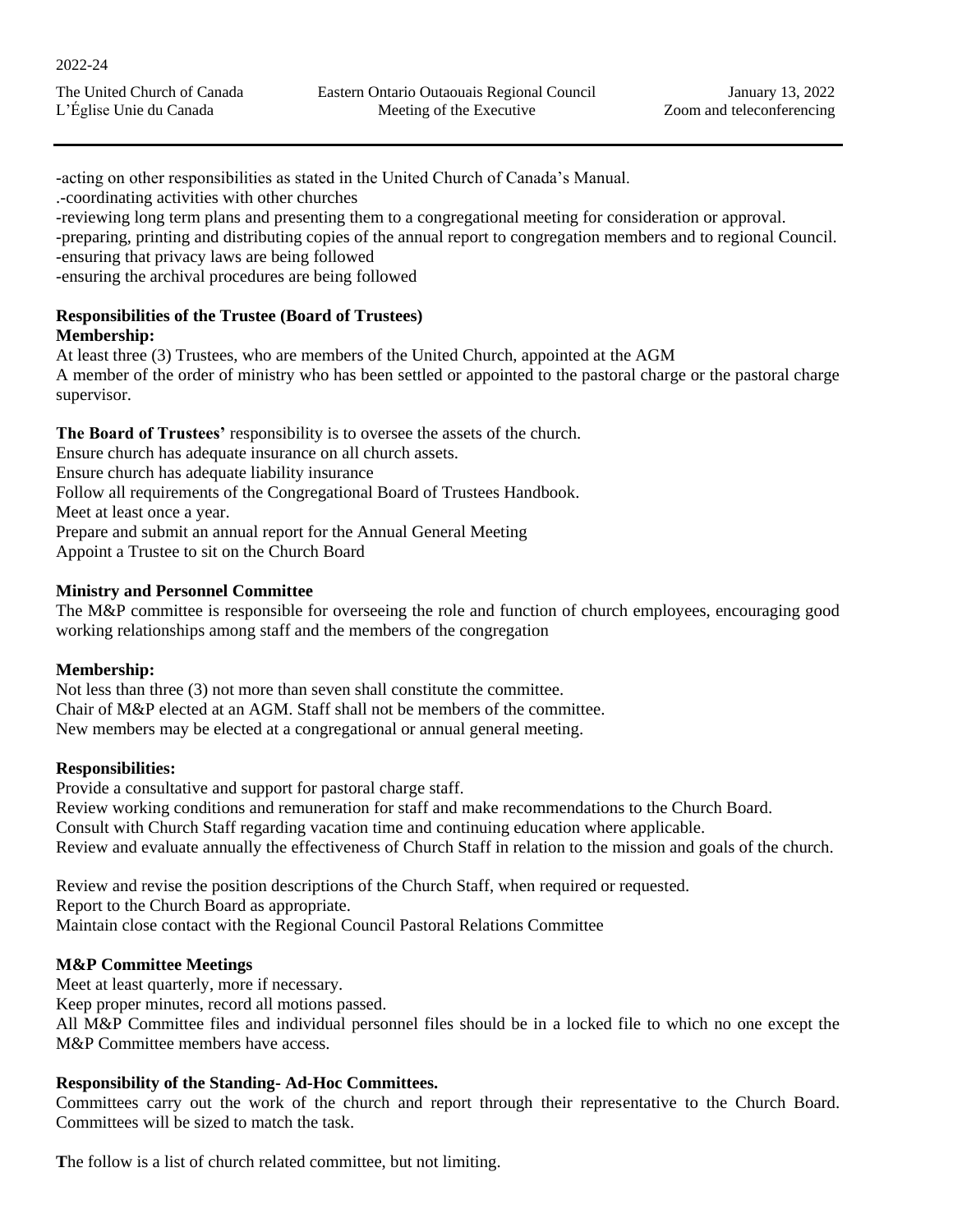-acting on other responsibilities as stated in the United Church of Canada's Manual.

.-coordinating activities with other churches

-reviewing long term plans and presenting them to a congregational meeting for consideration or approval.

-preparing, printing and distributing copies of the annual report to congregation members and to regional Council. -ensuring that privacy laws are being followed

-ensuring the archival procedures are being followed

#### **Responsibilities of the Trustee (Board of Trustees) Membership:**

At least three (3) Trustees, who are members of the United Church, appointed at the AGM A member of the order of ministry who has been settled or appointed to the pastoral charge or the pastoral charge supervisor.

**The Board of Trustees'** responsibility is to oversee the assets of the church.

Ensure church has adequate insurance on all church assets.

Ensure church has adequate liability insurance

Follow all requirements of the Congregational Board of Trustees Handbook.

Meet at least once a year.

Prepare and submit an annual report for the Annual General Meeting

Appoint a Trustee to sit on the Church Board

## **Ministry and Personnel Committee**

The M&P committee is responsible for overseeing the role and function of church employees, encouraging good working relationships among staff and the members of the congregation

#### **Membership:**

Not less than three (3) not more than seven shall constitute the committee. Chair of M&P elected at an AGM. Staff shall not be members of the committee. New members may be elected at a congregational or annual general meeting.

## **Responsibilities:**

Provide a consultative and support for pastoral charge staff. Review working conditions and remuneration for staff and make recommendations to the Church Board. Consult with Church Staff regarding vacation time and continuing education where applicable. Review and evaluate annually the effectiveness of Church Staff in relation to the mission and goals of the church.

Review and revise the position descriptions of the Church Staff, when required or requested. Report to the Church Board as appropriate. Maintain close contact with the Regional Council Pastoral Relations Committee

## **M&P Committee Meetings**

Meet at least quarterly, more if necessary.

Keep proper minutes, record all motions passed.

All M&P Committee files and individual personnel files should be in a locked file to which no one except the M&P Committee members have access.

## **Responsibility of the Standing- Ad-Hoc Committees.**

Committees carry out the work of the church and report through their representative to the Church Board. Committees will be sized to match the task.

The follow is a list of church related committee, but not limiting.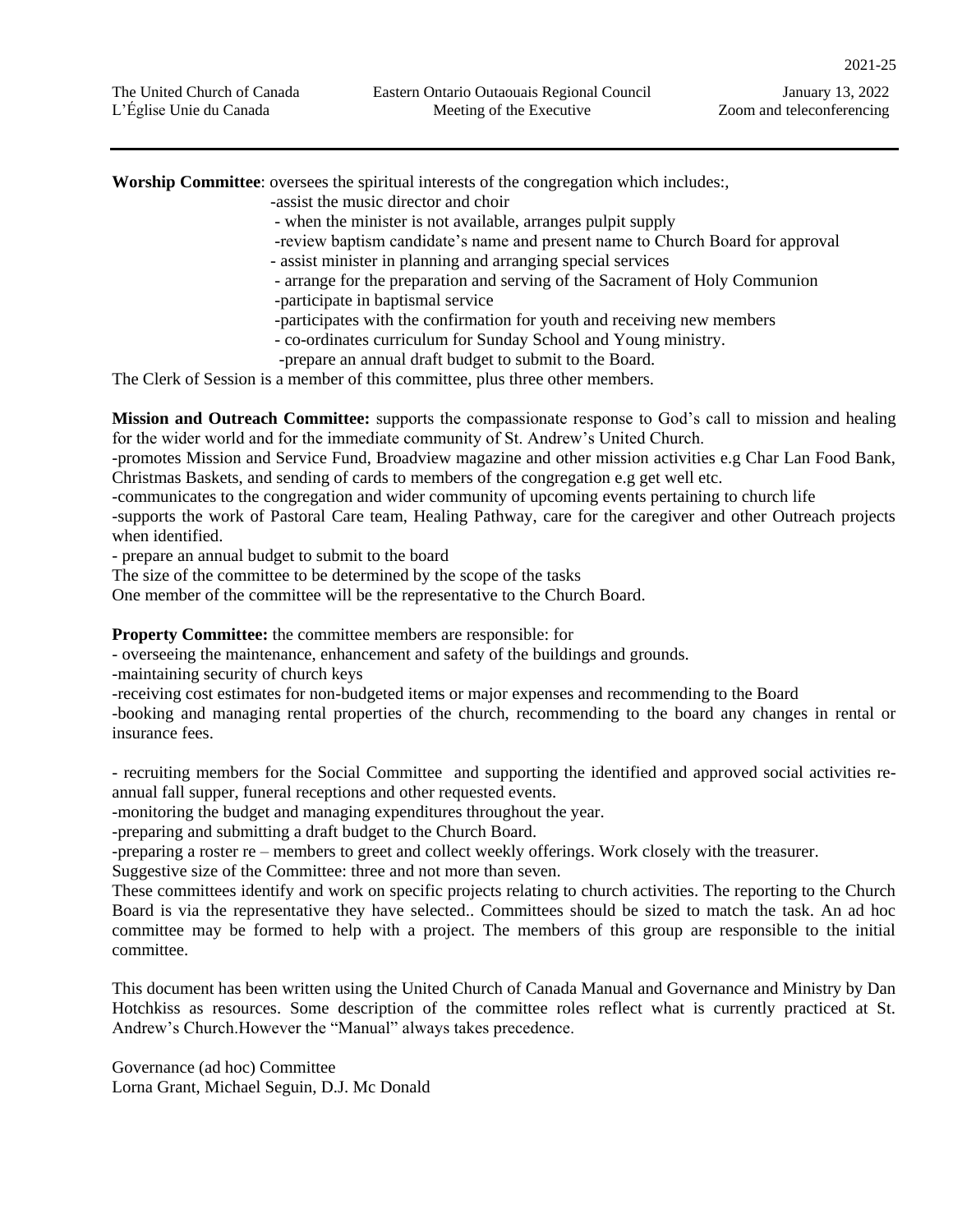**Worship Committee**: oversees the spiritual interests of the congregation which includes:,

-assist the music director and choir

- when the minister is not available, arranges pulpit supply

- -review baptism candidate's name and present name to Church Board for approval
- assist minister in planning and arranging special services
- arrange for the preparation and serving of the Sacrament of Holy Communion
- -participate in baptismal service
- -participates with the confirmation for youth and receiving new members
- co-ordinates curriculum for Sunday School and Young ministry.
- -prepare an annual draft budget to submit to the Board.

The Clerk of Session is a member of this committee, plus three other members.

**Mission and Outreach Committee:** supports the compassionate response to God's call to mission and healing for the wider world and for the immediate community of St. Andrew's United Church.

-promotes Mission and Service Fund, Broadview magazine and other mission activities e.g Char Lan Food Bank, Christmas Baskets, and sending of cards to members of the congregation e.g get well etc.

-communicates to the congregation and wider community of upcoming events pertaining to church life

-supports the work of Pastoral Care team, Healing Pathway, care for the caregiver and other Outreach projects when identified.

- prepare an annual budget to submit to the board

The size of the committee to be determined by the scope of the tasks

One member of the committee will be the representative to the Church Board.

**Property Committee:** the committee members are responsible: for

- overseeing the maintenance, enhancement and safety of the buildings and grounds.

-maintaining security of church keys

-receiving cost estimates for non-budgeted items or major expenses and recommending to the Board

-booking and managing rental properties of the church, recommending to the board any changes in rental or insurance fees.

- recruiting members for the Social Committee and supporting the identified and approved social activities reannual fall supper, funeral receptions and other requested events.

-monitoring the budget and managing expenditures throughout the year.

-preparing and submitting a draft budget to the Church Board.

-preparing a roster re – members to greet and collect weekly offerings. Work closely with the treasurer.

Suggestive size of the Committee: three and not more than seven.

These committees identify and work on specific projects relating to church activities. The reporting to the Church Board is via the representative they have selected.. Committees should be sized to match the task. An ad hoc committee may be formed to help with a project. The members of this group are responsible to the initial committee.

This document has been written using the United Church of Canada Manual and Governance and Ministry by Dan Hotchkiss as resources. Some description of the committee roles reflect what is currently practiced at St. Andrew's Church.However the "Manual" always takes precedence.

Governance (ad hoc) Committee Lorna Grant, Michael Seguin, D.J. Mc Donald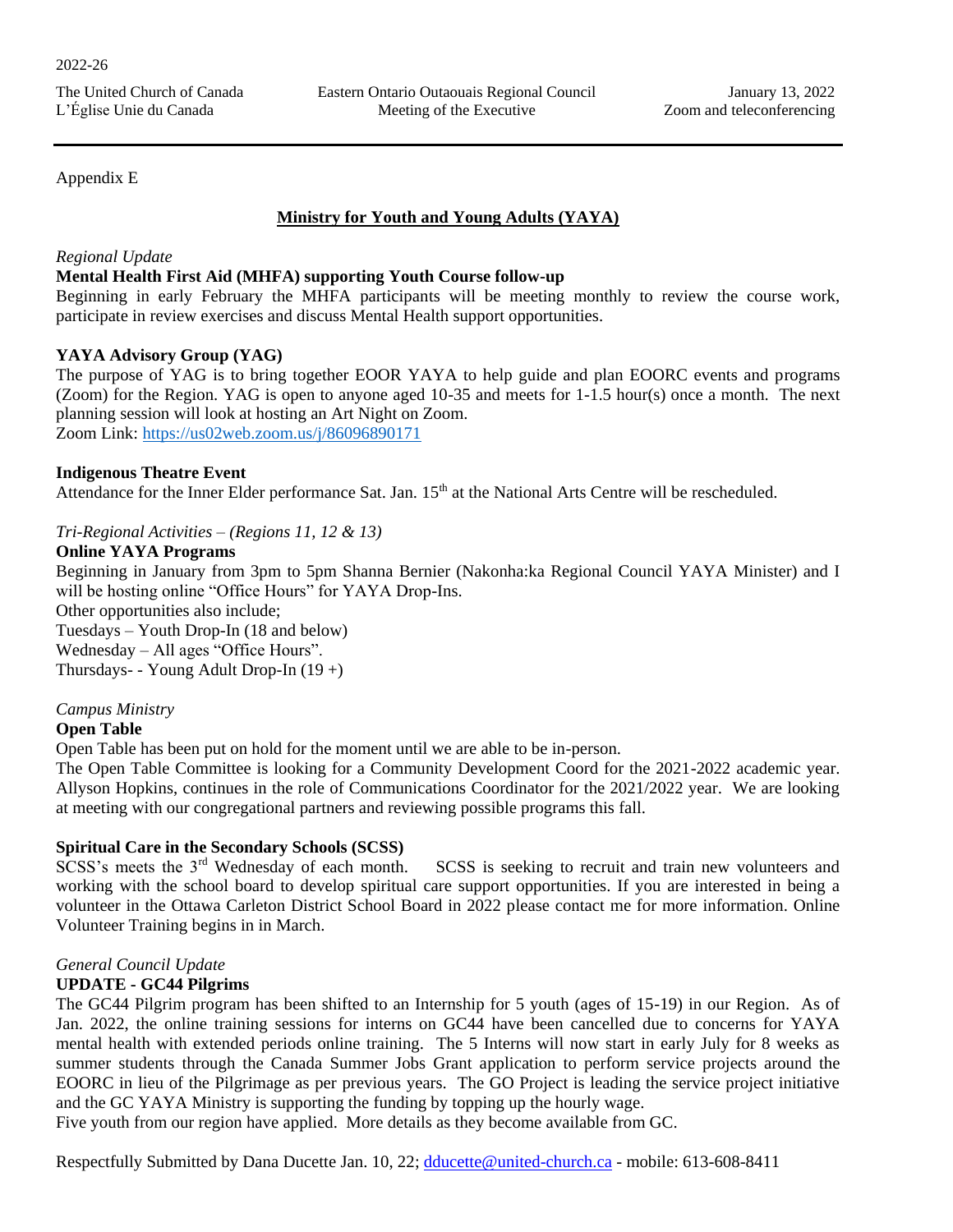#### Appendix E

#### **Ministry for Youth and Young Adults (YAYA)**

#### *Regional Update*

#### **Mental Health First Aid (MHFA) supporting Youth Course follow-up**

Beginning in early February the MHFA participants will be meeting monthly to review the course work, participate in review exercises and discuss Mental Health support opportunities.

#### **YAYA Advisory Group (YAG)**

The purpose of YAG is to bring together EOOR YAYA to help guide and plan EOORC events and programs (Zoom) for the Region. YAG is open to anyone aged 10-35 and meets for 1-1.5 hour(s) once a month. The next planning session will look at hosting an Art Night on Zoom. Zoom Link:<https://us02web.zoom.us/j/86096890171>

#### **Indigenous Theatre Event**

Attendance for the Inner Elder performance Sat. Jan. 15<sup>th</sup> at the National Arts Centre will be rescheduled.

*Tri-Regional Activities – (Regions 11, 12 & 13)*

#### **Online YAYA Programs**

Beginning in January from 3pm to 5pm Shanna Bernier (Nakonha:ka Regional Council YAYA Minister) and I will be hosting online "Office Hours" for YAYA Drop-Ins. Other opportunities also include; Tuesdays – Youth Drop-In (18 and below) Wednesday – All ages "Office Hours". Thursdays- - Young Adult Drop-In (19 +)

#### *Campus Ministry*

#### **Open Table**

Open Table has been put on hold for the moment until we are able to be in-person.

The Open Table Committee is looking for a Community Development Coord for the 2021-2022 academic year. Allyson Hopkins, continues in the role of Communications Coordinator for the 2021/2022 year. We are looking at meeting with our congregational partners and reviewing possible programs this fall.

#### **Spiritual Care in the Secondary Schools (SCSS)**

SCSS's meets the 3<sup>rd</sup> Wednesday of each month. SCSS is seeking to recruit and train new volunteers and working with the school board to develop spiritual care support opportunities. If you are interested in being a volunteer in the Ottawa Carleton District School Board in 2022 please contact me for more information. Online Volunteer Training begins in in March.

#### *General Council Update*

#### **UPDATE - GC44 Pilgrims**

The GC44 Pilgrim program has been shifted to an Internship for 5 youth (ages of 15-19) in our Region. As of Jan. 2022, the online training sessions for interns on GC44 have been cancelled due to concerns for YAYA mental health with extended periods online training. The 5 Interns will now start in early July for 8 weeks as summer students through the Canada Summer Jobs Grant application to perform service projects around the EOORC in lieu of the Pilgrimage as per previous years. The GO Project is leading the service project initiative and the GC YAYA Ministry is supporting the funding by topping up the hourly wage.

Five youth from our region have applied. More details as they become available from GC.

Respectfully Submitted by Dana Ducette Jan. 10, 22; [dducette@united-church.ca](mailto:dducette@united-church.ca) - mobile: 613-608-8411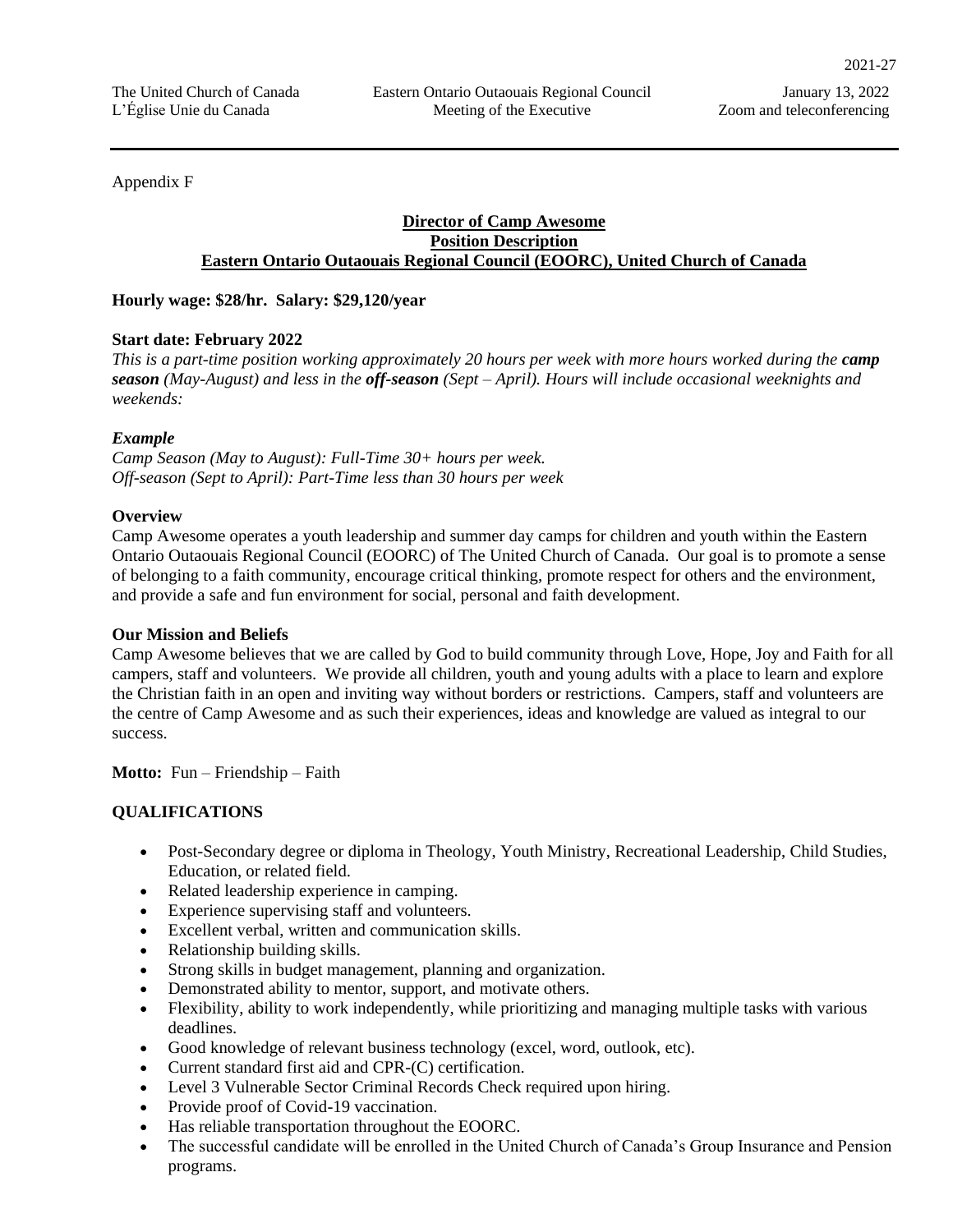Appendix F

#### **Director of Camp Awesome Position Description Eastern Ontario Outaouais Regional Council (EOORC), United Church of Canada**

**Hourly wage: \$28/hr. Salary: \$29,120/year**

#### **Start date: February 2022**

*This is a part-time position working approximately 20 hours per week with more hours worked during the camp season (May-August) and less in the off-season (Sept – April). Hours will include occasional weeknights and weekends:*

#### *Example*

*Camp Season (May to August): Full-Time 30+ hours per week. Off-season (Sept to April): Part-Time less than 30 hours per week* 

#### **Overview**

Camp Awesome operates a youth leadership and summer day camps for children and youth within the Eastern Ontario Outaouais Regional Council (EOORC) of The United Church of Canada. Our goal is to promote a sense of belonging to a faith community, encourage critical thinking, promote respect for others and the environment, and provide a safe and fun environment for social, personal and faith development.

#### **Our Mission and Beliefs**

Camp Awesome believes that we are called by God to build community through Love, Hope, Joy and Faith for all campers, staff and volunteers. We provide all children, youth and young adults with a place to learn and explore the Christian faith in an open and inviting way without borders or restrictions. Campers, staff and volunteers are the centre of Camp Awesome and as such their experiences, ideas and knowledge are valued as integral to our success.

**Motto:** Fun – Friendship – Faith

#### **QUALIFICATIONS**

- Post-Secondary degree or diploma in Theology, Youth Ministry, Recreational Leadership, Child Studies, Education, or related field.
- Related leadership experience in camping.
- Experience supervising staff and volunteers.
- Excellent verbal, written and communication skills.
- Relationship building skills.
- Strong skills in budget management, planning and organization.
- Demonstrated ability to mentor, support, and motivate others.
- Flexibility, ability to work independently, while prioritizing and managing multiple tasks with various deadlines.
- Good knowledge of relevant business technology (excel, word, outlook, etc).
- Current standard first aid and CPR-(C) certification.
- Level 3 Vulnerable Sector Criminal Records Check required upon hiring.
- Provide proof of Covid-19 vaccination.
- Has reliable transportation throughout the EOORC.
- The successful candidate will be enrolled in the United Church of Canada's Group Insurance and Pension programs.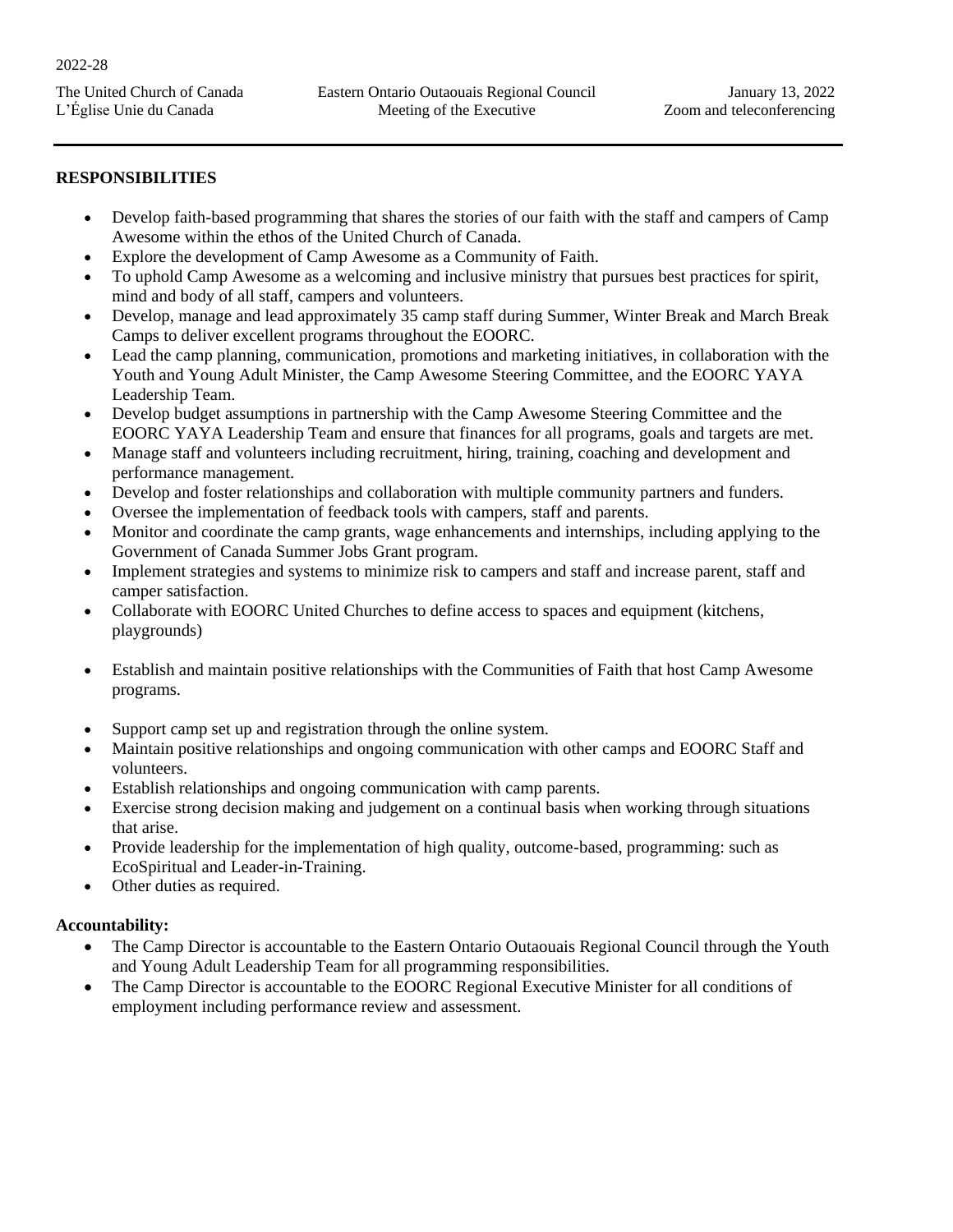#### **RESPONSIBILITIES**

- Develop faith-based programming that shares the stories of our faith with the staff and campers of Camp Awesome within the ethos of the United Church of Canada.
- Explore the development of Camp Awesome as a Community of Faith.
- To uphold Camp Awesome as a welcoming and inclusive ministry that pursues best practices for spirit, mind and body of all staff, campers and volunteers.
- Develop, manage and lead approximately 35 camp staff during Summer, Winter Break and March Break Camps to deliver excellent programs throughout the EOORC.
- Lead the camp planning, communication, promotions and marketing initiatives, in collaboration with the Youth and Young Adult Minister, the Camp Awesome Steering Committee, and the EOORC YAYA Leadership Team.
- Develop budget assumptions in partnership with the Camp Awesome Steering Committee and the EOORC YAYA Leadership Team and ensure that finances for all programs, goals and targets are met.
- Manage staff and volunteers including recruitment, hiring, training, coaching and development and performance management.
- Develop and foster relationships and collaboration with multiple community partners and funders.
- Oversee the implementation of feedback tools with campers, staff and parents.
- Monitor and coordinate the camp grants, wage enhancements and internships, including applying to the Government of Canada Summer Jobs Grant program.
- Implement strategies and systems to minimize risk to campers and staff and increase parent, staff and camper satisfaction.
- Collaborate with EOORC United Churches to define access to spaces and equipment (kitchens, playgrounds)
- Establish and maintain positive relationships with the Communities of Faith that host Camp Awesome programs.
- Support camp set up and registration through the online system.
- Maintain positive relationships and ongoing communication with other camps and EOORC Staff and volunteers.
- Establish relationships and ongoing communication with camp parents.
- Exercise strong decision making and judgement on a continual basis when working through situations that arise.
- Provide leadership for the implementation of high quality, outcome-based, programming: such as EcoSpiritual and Leader-in-Training.
- Other duties as required.

#### **Accountability:**

- The Camp Director is accountable to the Eastern Ontario Outaouais Regional Council through the Youth and Young Adult Leadership Team for all programming responsibilities.
- The Camp Director is accountable to the EOORC Regional Executive Minister for all conditions of employment including performance review and assessment.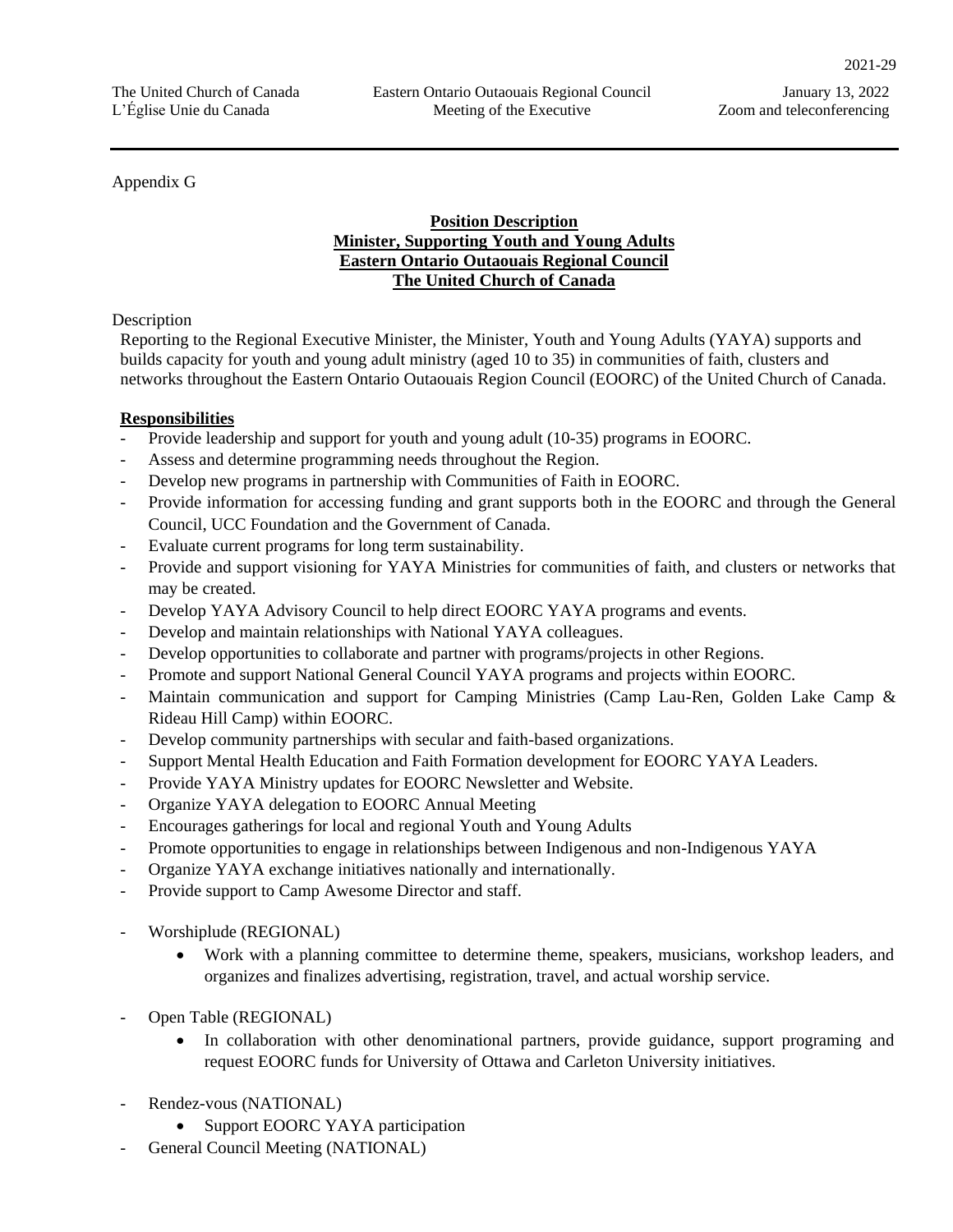#### Appendix G

#### **Position Description Minister, Supporting Youth and Young Adults Eastern Ontario Outaouais Regional Council The United Church of Canada**

#### **Description**

Reporting to the Regional Executive Minister, the Minister, Youth and Young Adults (YAYA) supports and builds capacity for youth and young adult ministry (aged 10 to 35) in communities of faith, clusters and networks throughout the Eastern Ontario Outaouais Region Council (EOORC) of the United Church of Canada.

## **Responsibilities**

- Provide leadership and support for youth and young adult (10-35) programs in EOORC.
- Assess and determine programming needs throughout the Region.
- Develop new programs in partnership with Communities of Faith in EOORC.
- Provide information for accessing funding and grant supports both in the EOORC and through the General Council, UCC Foundation and the Government of Canada.
- Evaluate current programs for long term sustainability.
- Provide and support visioning for YAYA Ministries for communities of faith, and clusters or networks that may be created.
- Develop YAYA Advisory Council to help direct EOORC YAYA programs and events.
- Develop and maintain relationships with National YAYA colleagues.
- Develop opportunities to collaborate and partner with programs/projects in other Regions.
- Promote and support National General Council YAYA programs and projects within EOORC.
- Maintain communication and support for Camping Ministries (Camp Lau-Ren, Golden Lake Camp & Rideau Hill Camp) within EOORC.
- Develop community partnerships with secular and faith-based organizations.
- Support Mental Health Education and Faith Formation development for EOORC YAYA Leaders.
- Provide YAYA Ministry updates for EOORC Newsletter and Website.
- Organize YAYA delegation to EOORC Annual Meeting
- Encourages gatherings for local and regional Youth and Young Adults
- Promote opportunities to engage in relationships between Indigenous and non-Indigenous YAYA
- Organize YAYA exchange initiatives nationally and internationally.
- Provide support to Camp Awesome Director and staff.
- Worshiplude (REGIONAL)
	- Work with a planning committee to determine theme, speakers, musicians, workshop leaders, and organizes and finalizes advertising, registration, travel, and actual worship service.
- Open Table (REGIONAL)
	- In collaboration with other denominational partners, provide guidance, support programing and request EOORC funds for University of Ottawa and Carleton University initiatives.
- Rendez-vous (NATIONAL)
	- Support EOORC YAYA participation
- General Council Meeting (NATIONAL)